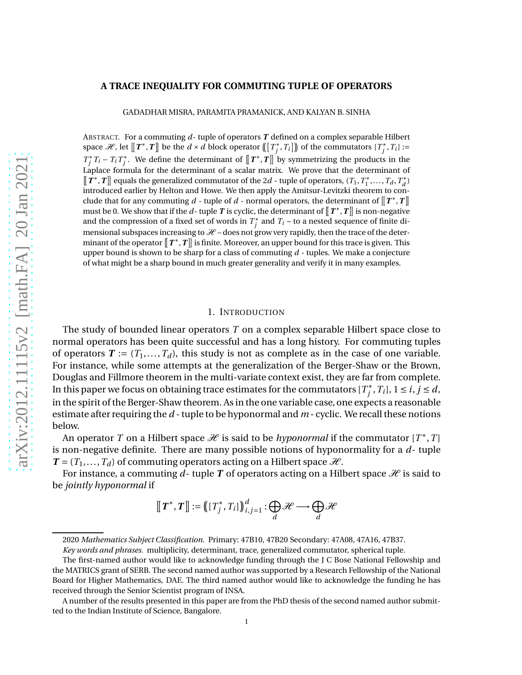### **A TRACE INEQUALITY FOR COMMUTING TUPLE OF OPERATORS**

GADADHAR MISRA, PARAMITA PRAMANICK, AND KALYAN B. SINHA

ABSTRACT. For a commuting *d*- tuple of operators *T* defined on a complex separable Hilbert space  $\mathcal{H}$ , let  $[[T^*, T]]$  be the  $d \times d$  block operator  $[[T_j^*, T_i]])$  of the commutators  $[T_j^*, T_i] :=$  $T_j^* T_i - T_i T_j^*$ . We define the determinant of  $\llbracket T^*, T \rrbracket$  by symmetrizing the products in the Laplace formula for the determinant of a scalar matrix. We prove that the determinant of  $[\![T^*,T]\!]$  equals the generalized commutator of the 2*d* - tuple of operators,  $(T_1, T_1^*, \ldots, T_d, T_d^*)$ introduced earlier by Helton and Howe. We then apply the Amitsur-Levitzki theorem to conclude that for any commuting  $d$  - tuple of  $d$  - normal operators, the determinant of  $\llbracket T^*, T \rrbracket$ must be 0. We show that if the  $d$ -tuple  $T$  is cyclic, the determinant of  $\llbracket T^*, T \rrbracket$  is non-negative and the compression of a fixed set of words in  $T^*_j$  and  $T_i$  – to a nested sequence of finite dimensional subspaces increasing to  $\mathcal{H}$  – does not grow very rapidly, then the trace of the determinant of the operator  $\llbracket T^*, T \rrbracket$  is finite. Moreover, an upper bound for this trace is given. This upper bound is shown to be sharp for a class of commuting *d* - tuples. We make a conjecture of what might be a sharp bound in much greater generality and verify it in many examples.

### 1. INTRODUCTION

The study of bounded linear operators *T* on a complex separable Hilbert space close to normal operators has been quite successful and has a long history. For commuting tuples of operators  $T := (T_1, \ldots, T_d)$ , this study is not as complete as in the case of one variable. For instance, while some attempts at the generalization of the Berger-Shaw or the Brown, Douglas and Fillmore theorem in the multi-variate context exist, they are far from complete. In this paper we focus on obtaining trace estimates for the commutators  $[T^*_j, T_i]$ ,  $1 \leq i, j \leq d$ , in the spirit of the Berger-Shaw theorem. As in the one variable case, one expects a reasonable estimate after requiring the *d* - tuple to be hyponormal and *m* - cyclic. We recall these notions below.

An operator *T* on a Hilbert space  $\mathcal H$  is said to be *hyponormal* if the commutator  $[T^*,T]$ is non-negative definite. There are many possible notions of hyponormality for a *d*- tuple  $T = (T_1, \ldots, T_d)$  of commuting operators acting on a Hilbert space  $\mathcal{H}$ .

For instance, a commuting  $d$ - tuple  $T$  of operators acting on a Hilbert space  $\mathcal H$  is said to be *jointly hyponormal* if

$$
[[T^*,T]] := [[T_j^*,T_i]]_{i,j=1}^d : \bigoplus_d \mathcal{H} \longrightarrow \bigoplus_d \mathcal{H}
$$

<sup>2020</sup> *Mathematics Subject Classification.* Primary: 47B10, 47B20 Secondary: 47A08, 47A16, 47B37.

*Key words and phrases.* multiplicity, determinant, trace, generalized commutator, spherical tuple.

The first-named author would like to acknowledge funding through the J C Bose National Fellowship and the MATRICS grant of SERB. The second named author was supported by a Research Fellowship of the National Board for Higher Mathematics, DAE. The third named author would like to acknowledge the funding he has received through the Senior Scientist program of INSA.

A number of the results presented in this paper are from the PhD thesis of the second named author submitted to the Indian Institute of Science, Bangalore.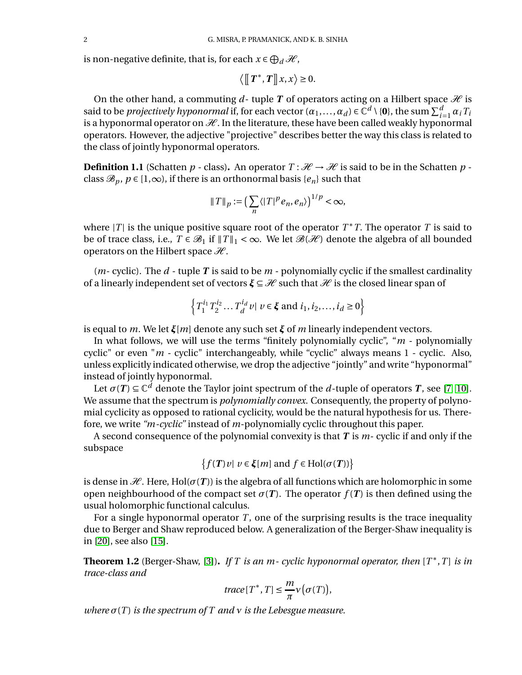is non-negative definite, that is, for each  $x \in \bigoplus_d \mathcal{H}$ ,

$$
\langle [\![T^*,T]\!]x,x\rangle \geq 0.
$$

On the other hand, a commuting  $d$ - tuple  $T$  of operators acting on a Hilbert space  $\mathcal H$  is said to be *projectively hyponormal* if, for each vector  $(a_1,...,a_d) \in \mathbb{C}^d \setminus \{0\}$ , the sum  $\sum_{i=1}^d a_i T_i$ is a hyponormal operator on  $\mathcal{H}$ . In the literature, these have been called weakly hyponormal  $\sum_{i=1}^{\infty} a_i r_i$ operators. However, the adjective "projective" describes better the way this class is related to the class of jointly hyponormal operators.

<span id="page-1-0"></span>**Definition 1.1** (Schatten  $p$  - class). An operator  $T : \mathcal{H} \to \mathcal{H}$  is said to be in the Schatten  $p$  class  $\mathcal{B}_p$ ,  $p \in [1,\infty)$ , if there is an orthonormal basis  $\{e_n\}$  such that

$$
||T||_p := \left(\sum_n \langle |T|^p e_n, e_n \rangle\right)^{1/p} < \infty,
$$

where  $|T|$  is the unique positive square root of the operator  $T^*T$ . The operator  $T$  is said to be of trace class, i.e.,  $T \in \mathcal{B}_1$  if  $||T||_1 < \infty$ . We let  $\mathcal{B}(\mathcal{H})$  denote the algebra of all bounded operators on the Hilbert space  $\mathcal{H}$ .

(*m*- cyclic). The *d* - tuple *T* is said to be *m* - polynomially cyclic if the smallest cardinality of a linearly independent set of vectors  $\xi \subseteq \mathcal{H}$  such that  $\mathcal{H}$  is the closed linear span of

$$
\left\{ T_1^{i_1} T_2^{i_2} \dots T_d^{i_d} v \mid v \in \xi \text{ and } i_1, i_2, \dots, i_d \ge 0 \right\}
$$

is equal to *m*. We let *ξ*[*m*] denote any such set *ξ* of *m* linearly independent vectors.

In what follows, we will use the terms "finitely polynomially cyclic", "*m* - polynomially cyclic" or even "*m* - cyclic" interchangeably, while "cyclic" always means 1 - cyclic. Also, unless explicitly indicated otherwise, we drop the adjective "jointly" and write "hyponormal" instead of jointly hyponormal.

Let  $\sigma(T) \subseteq \mathbb{C}^d$  denote the Taylor joint spectrum of the *d*-tuple of operators *T*, see [\[7,](#page-28-0) [10\]](#page-28-1). We assume that the spectrum is *polynomially convex*. Consequently, the property of polynomial cyclicity as opposed to rational cyclicity, would be the natural hypothesis for us. Therefore, we write *"m-cyclic"* instead of *m*-polynomially cyclic throughout this paper.

A second consequence of the polynomial convexity is that *T* is *m*- cyclic if and only if the subspace

$$
\big\{f(\boldsymbol{T})\,v|\,\,v\in\boldsymbol{\xi}[m]\text{ and }f\in\mathrm{Hol}(\sigma(\boldsymbol{T}))\big\}
$$

is dense in  $H$ . Here, Hol( $\sigma(T)$ ) is the algebra of all functions which are holomorphic in some open neighbourhood of the compact set  $\sigma(T)$ . The operator  $f(T)$  is then defined using the usual holomorphic functional calculus.

For a single hyponormal operator *T*, one of the surprising results is the trace inequality due to Berger and Shaw reproduced below. A generalization of the Berger-Shaw inequality is in [\[20\]](#page-29-0), see also [\[15\]](#page-28-2).

**Theorem 1.2** (Berger-Shaw, [\[3\]](#page-28-3))**.** *If T is an m- cyclic hyponormal operator, then* [*T* ∗ ,*T* ] *is in trace-class and*

$$
trace[T^*, T] \leq \frac{m}{\pi} \nu(\sigma(T)),
$$

*where*  $\sigma(T)$  *is the spectrum of*  $T$  *and*  $\nu$  *is the Lebesgue measure.*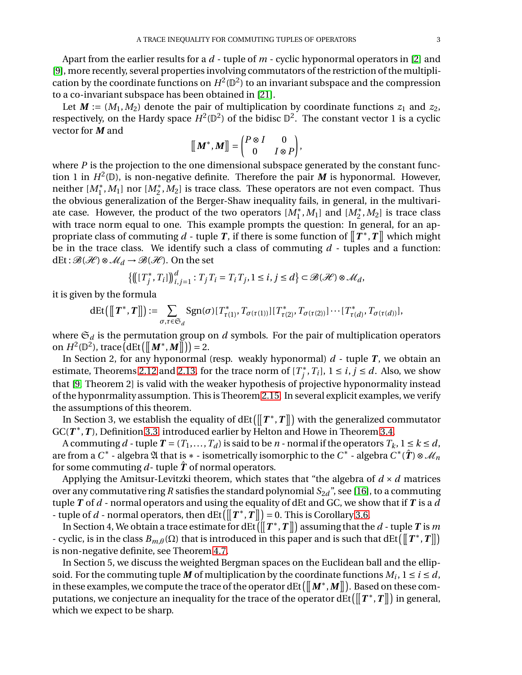Apart from the earlier results for a *d* - tuple of *m* - cyclic hyponormal operators in [\[2\]](#page-28-4) and [\[9\]](#page-28-5), more recently, several properties involving commutators of the restriction of the multiplication by the coordinate functions on  $H^2(\mathbb{D}^2)$  to an invariant subspace and the compression to a co-invariant subspace has been obtained in [\[21\]](#page-29-1).

Let  $M := (M_1, M_2)$  denote the pair of multiplication by coordinate functions  $z_1$  and  $z_2$ , respectively, on the Hardy space  $H^2(\mathbb{D}^2)$  of the bidisc  $\mathbb{D}^2$ . The constant vector 1 is a cyclic vector for *M* and

$$
\big[\!\!\big[\boldsymbol{M}^*, \boldsymbol{M}\big]\!\!\big]=\begin{pmatrix}P\otimes I & 0 \\ 0 & I\otimes P\end{pmatrix},
$$

where *P* is the projection to the one dimensional subspace generated by the constant function 1 in  $H^2(\mathbb{D})$ , is non-negative definite. Therefore the pair M is hyponormal. However, neither  $[M_1^*,M_1]$  nor  $[M_2^*,M_2]$  is trace class. These operators are not even compact. Thus the obvious generalization of the Berger-Shaw inequality fails, in general, in the multivariate case. However, the product of the two operators  $[M_1^*, M_1]$  and  $[M_2^*, M_2]$  is trace class with trace norm equal to one. This example prompts the question: In general, for an appropriate class of commuting  $d$  - tuple  $T$ , if there is some function of  $\llbracket T^*, T \rrbracket$  which might be in the trace class. We identify such a class of commuting *d* - tuples and a function:  $dEt : \mathcal{B}(\mathcal{H}) \otimes \mathcal{M}_d \rightarrow \mathcal{B}(\mathcal{H})$ . On the set

$$
\left\{\left(\left[T_j^*, T_i\right]\right)\right\}_{i,j=1}^d: T_j T_i = T_i T_j, 1 \le i, j \le d\right\} \subset \mathcal{B}(\mathcal{H}) \otimes \mathcal{M}_d,
$$

it is given by the formula

$$
\text{dEt}\left(\left[\!\left[\,T^*, T\right]\!\right]\right) := \sum_{\sigma,\tau \in \mathfrak{S}_d} \text{Sgn}(\sigma) [\,T^*_{\tau(1)}, T_{\sigma(\tau(1))}] [\,T^*_{\tau(2)}, T_{\sigma(\tau(2))}] \cdots [\,T^*_{\tau(d)}, T_{\sigma(\tau(d))}],
$$

where  $\mathfrak{S}_d$  is the permutation group on  $d$  symbols. For the pair of multiplication operators on  $H^2(\mathbb{D}^2)$ , trace  $\left(\frac{dEt}{M^*, M}\right) = 2.$ 

In Section 2, for any hyponormal (resp. weakly hyponormal)  $d$  - tuple  $T$ , we obtain an estimate, Theorems [2.12](#page-8-0) and [2.13,](#page-8-1) for the trace norm of  $[T_j^*, T_i]$ ,  $1 \le i, j \le d$ . Also, we show that [\[9,](#page-28-5) Theorem 2] is valid with the weaker hypothesis of projective hyponormality instead of the hyponrmality assumption. This is Theorem [2.15.](#page-9-0) In several explicit examples, we verify the assumptions of this theorem.

In Section 3, we establish the equality of dEt $\left(\left\|\,T^*, T\right\|\right)$  with the generalized commutator GC(*T* ∗ ,*T* ), Definition [3.3,](#page-12-0) introduced earlier by Helton and Howe in Theorem [3.4.](#page-13-0)

A commuting *d* - tuple  $T = (T_1, ..., T_d)$  is said to be *n* - normal if the operators  $T_k$ ,  $1 \le k \le d$ , are from a  $C^*$  - algebra  $\mathfrak A$  that is  $*$  - isometrically isomorphic to the  $C^*$  - algebra  $C^*(\hat{T}) \otimes \mathcal M_n$ for some commuting  $d$ - tuple  $\hat{T}$  of normal operators.

Applying the Amitsur-Levitzki theorem, which states that "the algebra of  $d \times d$  matrices over any commutative ring *R* satisfies the standard polynomial  $S_{2d}$ <sup>"</sup>, see [\[16\]](#page-28-6), to a commuting tuple *T* of *d* - normal operators and using the equality of dEt and GC, we show that if *T* is a *d* - tuple of *d* - normal operators, then  $\text{dEt}([\![T^*, T]\!]) = 0$ . This is Corollary [3.6.](#page-15-0)

In Section 4, We obtain a trace estimate for dEt  $(\llbracket T^*, T \rrbracket)$  assuming that the  $d$  - tuple  $T$  is  $m$ - cyclic, is in the class  $B_{m,\theta}(\Omega)$  that is introduced in this paper and is such that dEt  $(\llbracket T^*, T \rrbracket)$ is non-negative definite, see Theorem [4.7.](#page-19-0)

In Section 5, we discuss the weighted Bergman spaces on the Euclidean ball and the ellipsoid. For the commuting tuple *M* of multiplication by the coordinate functions  $M_i$ ,  $1 \le i \le d$ , in these examples, we compute the trace of the operator  $\text{dEt}([\llbracket M^*, M \rrbracket)$ . Based on these computations, we conjecture an inequality for the trace of the operator  $\det (\llbracket T^*, T \rrbracket)$  in general, which we expect to be sharp.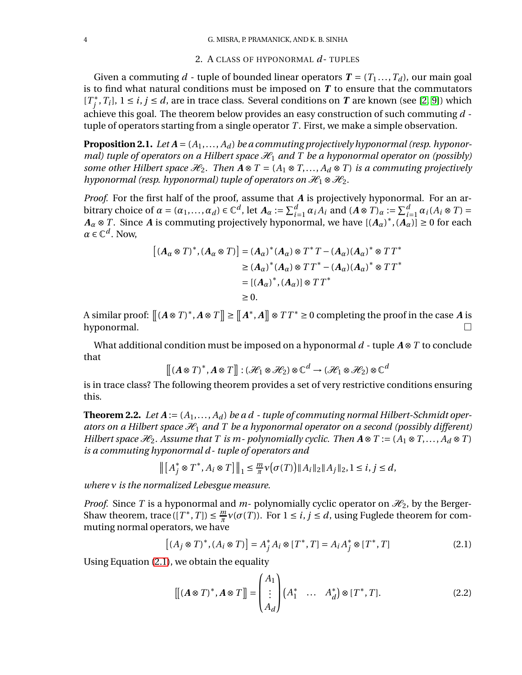### 2. A CLASS OF HYPONORMAL *d*- TUPLES

Given a commuting  $d$  - tuple of bounded linear operators  $T = (T_1, ..., T_d)$ , our main goal is to find what natural conditions must be imposed on *T* to ensure that the commutators  $[T<sup>*</sup><sub>j</sub>, T<sub>i</sub>], 1 ≤ *i*, *j* ≤ *d*, are in trace class. Several conditions on *T* are known (see [2, 9]) which$  $[T<sup>*</sup><sub>j</sub>, T<sub>i</sub>], 1 ≤ *i*, *j* ≤ *d*, are in trace class. Several conditions on *T* are known (see [2, 9]) which$  $[T<sup>*</sup><sub>j</sub>, T<sub>i</sub>], 1 ≤ *i*, *j* ≤ *d*, are in trace class. Several conditions on *T* are known (see [2, 9]) which$  $[T<sup>*</sup><sub>j</sub>, T<sub>i</sub>], 1 ≤ *i*, *j* ≤ *d*, are in trace class. Several conditions on *T* are known (see [2, 9]) which$ achieve this goal. The theorem below provides an easy construction of such commuting *d* tuple of operators starting from a single operator *T* . First, we make a simple observation.

<span id="page-3-1"></span>**Proposition 2.1.** *Let <sup>A</sup>* <sup>=</sup> (*A*1,..., *<sup>A</sup><sup>d</sup>* ) *be a commuting projectively hyponormal (resp. hyponormal) tuple of operators on a Hilbert space*  $\mathcal{H}_1$  *and* T *be a hyponormal operator on (possibly) some other Hilbert space*  $\mathcal{H}_2$ . *Then*  $A \otimes T = (A_1 \otimes T, \ldots, A_d \otimes T)$  *is a commuting projectively hyponormal (resp. hyponormal) tuple of operators on*  $\mathcal{H}_1 \otimes \mathcal{H}_2$ .

*Proof.* For the first half of the proof, assume that *A* is projectively hyponormal. For an arbitrary choice of  $\alpha = (\alpha_1, ..., \alpha_d) \in \mathbb{C}^d$ , let  $A_\alpha := \sum_{i=1}^d$  $\alpha$ <sup>*i*</sup> *A*<sub>*i*</sub> and  $(A \otimes T)$ *α* :=  $\sum_{i=1}^{d}$  $\frac{a}{i-1} \alpha_i (A_i \otimes T) =$  $A_{\alpha} \otimes T$ . Since *A* is commuting projectively hyponormal, we have  $[(A_{\alpha})^*, (A_{\alpha})] \ge 0$  for each  $\alpha \in \mathbb{C}^d$ . Now,

$$
[(A_{\alpha} \otimes T)^*, (A_{\alpha} \otimes T)] = (A_{\alpha})^* (A_{\alpha}) \otimes T^* T - (A_{\alpha}) (A_{\alpha})^* \otimes TT^*
$$
  
\n
$$
\ge (A_{\alpha})^* (A_{\alpha}) \otimes TT^* - (A_{\alpha}) (A_{\alpha})^* \otimes TT^*
$$
  
\n
$$
= [(A_{\alpha})^*, (A_{\alpha})] \otimes TT^*
$$
  
\n
$$
\ge 0.
$$

A similar proof:  $\left[\left(A \otimes T\right)^*, A \otimes T\right] \ge \left[\left[A^*, A\right]\right] \otimes TT^* \ge 0$  completing the proof in the case *A* is  $h$ yponormal.

What additional condition must be imposed on a hyponormal *<sup>d</sup>* - tuple *<sup>A</sup>* <sup>⊗</sup>*<sup>T</sup>* to conclude that

$$
[[(A\otimes T)^*,A\otimes T]]:(\mathcal{H}_1\otimes \mathcal{H}_2)\otimes \mathbb{C}^d\to (\mathcal{H}_1\otimes \mathcal{H}_2)\otimes \mathbb{C}^d
$$

is in trace class? The following theorem provides a set of very restrictive conditions ensuring this.

<span id="page-3-3"></span>**Theorem 2.2.** Let  $A := (A_1, \ldots, A_d)$  be a  $d$  - tuple of commuting normal Hilbert-Schmidt oper*ators on a Hilbert space*  $H_1$  *and* T *be a hyponormal operator on a second (possibly different) Hilbert space*  $\mathcal{H}_2$ . Assume that T is m-polynomially cyclic. Then  $A \otimes T := (A_1 \otimes T, \ldots, A_d \otimes T)$ *is a commuting hyponormal d - tuple of operators and*

$$
\left\|\left[A_j^*\otimes T^*,A_i\otimes T\right]\right\|_1\leq \frac{m}{\pi}v\big(\sigma(T)\big)\|A_i\|_2\|A_j\|_2, 1\leq i,j\leq d,
$$

*where ν is the normalized Lebesgue measure.*

*Proof.* Since *T* is a hyponormal and *m*- polynomially cyclic operator on  $\mathcal{H}_2$ , by the Berger-Shaw theorem, trace  $([T^*, T]) \leq \frac{m}{\pi}$  $\frac{m}{\pi}$  *ν*(*σ*(*T*)). For  $1 \le i, j \le d$ , using Fuglede theorem for commuting normal operators, we have

$$
[(A_j \otimes T)^*, (A_i \otimes T)] = A_j^* A_i \otimes [T^*, T] = A_i A_j^* \otimes [T^*, T]
$$
\n(2.1)

Using Equation [\(2.1\)](#page-3-0), we obtain the equality

<span id="page-3-2"></span><span id="page-3-0"></span>
$$
\left[ \left( A \otimes T \right)^*, A \otimes T \right] = \begin{pmatrix} A_1 \\ \vdots \\ A_d \end{pmatrix} \left( A_1^* \quad \dots \quad A_d^* \right) \otimes \left[ T^*, T \right]. \tag{2.2}
$$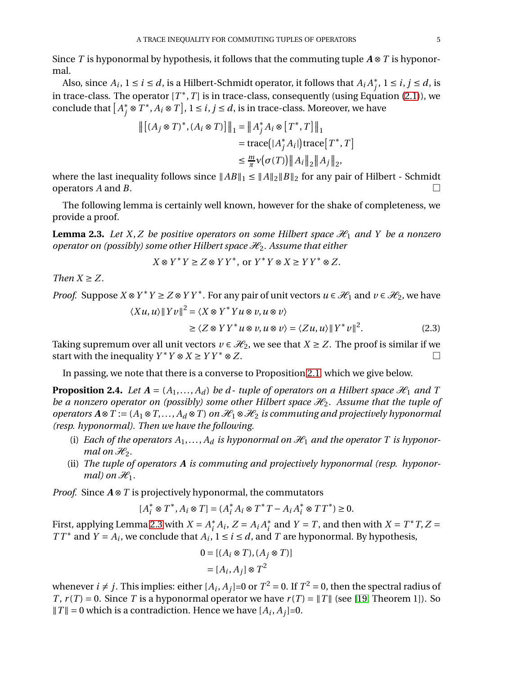Since *<sup>T</sup>* is hyponormal by hypothesis, it follows that the commuting tuple *<sup>A</sup>* <sup>⊗</sup>*<sup>T</sup>* is hyponormal.

Also, since  $A_i$ ,  $1 \leq i \leq d$ , is a Hilbert-Schmidt operator, it follows that  $A_iA_j^*,$   $1 \leq i,j \leq d$ , is in trace-class. The operator  $[T^*,T]$  is in trace-class, consequently (using Equation [\(2.1\)](#page-3-0)), we conclude that  $[A_j^* \otimes T^*, A_i \otimes T], 1 \le i, j \le d$ , is in trace-class. Moreover, we have

$$
\begin{aligned} \left\| \left[ (A_j \otimes T)^*, (A_i \otimes T) \right] \right\|_1 &= \left\| A_j^* A_i \otimes \left[ T^*, T \right] \right\|_1 \\ &= \text{trace} \big( | A_j^* A_i | \big) \text{trace} \big[ T^*, T \big] \\ &\leq \frac{m}{\pi} \nu \big( \sigma(T) \big) \left\| A_i \right\|_2 \left\| A_j \right\|_2, \end{aligned}
$$

where the last inequality follows since  $||AB||_1 \le ||A||_2||B||_2$  for any pair of Hilbert - Schmidt operators *A* and *B*. operators *A* and *B*.

The following lemma is certainly well known, however for the shake of completeness, we provide a proof.

<span id="page-4-0"></span>**Lemma 2.3.** Let X, Z be positive operators on some Hilbert space  $\mathcal{H}_1$  and Y be a nonzero *operator on (possibly) some other Hilbert space*  $\mathcal{H}_2$ . Assume that either

$$
X \otimes Y^* Y \ge Z \otimes Y Y^*, \text{ or } Y^* Y \otimes X \ge Y Y^* \otimes Z.
$$

*Then*  $X \geq Z$ .

*Proof.* Suppose  $X \otimes Y^* Y \ge Z \otimes Y Y^*$ . For any pair of unit vectors  $u \in \mathcal{H}_1$  and  $v \in \mathcal{H}_2$ , we have  $\langle Xu, u \rangle \| Yv \|^2 = \langle X \otimes Y^* Y u \otimes v, u \otimes v \rangle$ 

$$
\geq \langle Z \otimes Y Y^* u \otimes v, u \otimes v \rangle = \langle Z u, u \rangle ||Y^* v||^2. \tag{2.3}
$$

Taking supremum over all unit vectors *v* ∈  $\mathcal{H}_2$ , we see that *X* ≥ *Z*. The proof is similar if we start with the inequality *Y* \* *Y* ⊗ *X* > *Y Y* \* ⊗ *Z*. start with the inequality  $Y^*Y \otimes X \geq YY^* \otimes Z$ .

In passing, we note that there is a converse to Proposition [2.1,](#page-3-1) which we give below.

**Proposition 2.4.** *Let*  $A = (A_1, ..., A_d)$  *be d-tuple of operators on a Hilbert space*  $\mathcal{H}_1$  *and*  $T$ *be a nonzero operator on (possibly) some other Hilbert space*  $\mathcal{H}_2$ . Assume that the tuple of *operators*  $A \otimes T$  := ( $A_1 \otimes T$ ,...,  $A_d \otimes T$ ) *on*  $\mathcal{H}_1 \otimes \mathcal{H}_2$  *is commuting and projectively hyponormal (resp. hyponormal). Then we have the following.*

- (i) *Each of the operators*  $A_1, \ldots, A_d$  *is hyponormal on*  $\mathcal{H}_1$  *and the operator* T *is hyponormal on*  $\mathcal{H}_2$ *.*
- (ii) *The tuple of operators A is commuting and projectively hyponormal (resp. hyponormal)* on  $\mathcal{H}_1$ .

*Proof.* Since *A* ⊗ *T* is projectively hyponormal, the commutators

$$
[A_i^* \otimes T^*, A_i \otimes T] = (A_i^* A_i \otimes T^* T - A_i A_i^* \otimes T T^*) \ge 0.
$$

First, applying Lemma [2.3](#page-4-0) with  $X = A_i^* A_i$ ,  $Z = A_i A_i^*$  and  $Y = T$ , and then with  $X = T^* T$ ,  $Z = T^* T$ *T T*<sup>\*</sup> and *Y* = *A*<sub>*i*</sub>, we conclude that *A*<sub>*i*</sub>, 1 ≤ *i* ≤ *d*, and *T* are hyponormal. By hypothesis,

$$
0 = [(A_i \otimes T), (A_j \otimes T)]
$$

$$
= [A_i, A_j] \otimes T^2
$$

whenever  $i \neq j$ . This implies: either  $[A_i, A_j]=0$  or  $T^2=0$ . If  $T^2=0$ , then the spectral radius of *T*,  $r(T) = 0$ . Since *T* is a hyponormal operator we have  $r(T) = ||T||$  (see [\[19,](#page-28-7) Theorem 1]). So  $||T|| = 0$  which is a contradiction. Hence we have  $[A_i, A_j] = 0$ .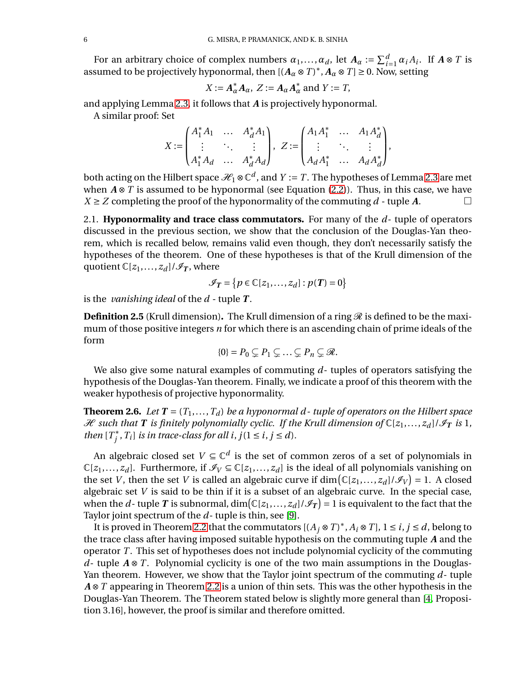For an arbitrary choice of complex numbers  $\alpha_1, \ldots, \alpha_d$ , let  $A_\alpha := \sum_{i=1}^d \alpha_i A_i$ . If  $A \otimes T$  is assumed to be projectively hyponormal, then  $[(A_{\alpha} \otimes T)^{*}, A_{\alpha} \otimes T] \ge 0$ . Now, setting

$$
X := A_{\alpha}^* A_{\alpha}, Z := A_{\alpha} A_{\alpha}^* \text{ and } Y := T,
$$

and applying Lemma [2.3,](#page-4-0) it follows that *A* is projectively hyponormal.

A similar proof: Set

$$
X:=\begin{pmatrix} A_1^*A_1 & \dots & A_d^*A_1 \\ \vdots & \ddots & \vdots \\ A_1^*A_d & \dots & A_d^*A_d \end{pmatrix}, \ Z:=\begin{pmatrix} A_1A_1^* & \dots & A_1A_d^* \\ \vdots & \ddots & \vdots \\ A_dA_1^* & \dots & A_dA_d^* \end{pmatrix},
$$

both acting on the Hilbert space  $\mathcal{H}_1 \otimes \mathbb{C}^d$ , and  $Y := T$ . The hypotheses of Lemma [2.3](#page-4-0) are met when *A* ⊗ *T* is assumed to be hyponormal (see Equation [\(2.2\)](#page-3-2)). Thus, in this case, we have  $X \ge Z$  completing the proof of the hyponormality of the commuting *d* - tuple *A*.  $X \geq Z$  completing the proof of the hyponormality of the commuting  $d$  - tuple  $A$ .

2.1. **Hyponormality and trace class commutators.** For many of the *d*- tuple of operators discussed in the previous section, we show that the conclusion of the Douglas-Yan theorem, which is recalled below, remains valid even though, they don't necessarily satisfy the hypotheses of the theorem. One of these hypotheses is that of the Krull dimension of the quotient  $\mathbb{C}[z_1,\ldots,z_d]/\mathscr{I}_T$ , where

$$
\mathscr{I}_T = \{p \in \mathbb{C}[z_1,\ldots,z_d] : p(T) = 0\}
$$

is the *vanishing ideal* of the *d* - tuple *T* .

**Definition 2.5** (Krull dimension). The Krull dimension of a ring  $\mathcal{R}$  is defined to be the maximum of those positive integers *n* for which there is an ascending chain of prime ideals of the form

$$
\{0\} = P_0 \subsetneq P_1 \subsetneq \ldots \subsetneq P_n \subsetneq \mathcal{R}.
$$

We also give some natural examples of commuting *d*- tuples of operators satisfying the hypothesis of the Douglas-Yan theorem. Finally, we indicate a proof of this theorem with the weaker hypothesis of projective hyponormality.

**Theorem 2.6.** *Let*  $T = (T_1, ..., T_d)$  *be a hyponormal d-tuple of operators on the Hilbert space*  $\mathcal{H}$  such that **T** is finitely polynomially cyclic. If the Krull dimension of  $\mathbb{C}[z_1,\ldots,z_d]/\mathcal{I}_T$  is 1, *then*  $[T_j^*, T_i]$  *is in trace-class for all i*,  $j(1 \le i, j \le d)$ *.* 

An algebraic closed set  $V \subseteq \mathbb{C}^d$  is the set of common zeros of a set of polynomials in  $\mathbb{C}[z_1,\ldots,z_d]$ . Furthermore, if  $\mathcal{I}_V \subseteq \mathbb{C}[z_1,\ldots,z_d]$  is the ideal of all polynomials vanishing on the set *V*, then the set *V* is called an algebraic curve if  $\dim(\mathbb{C}[z_1,\ldots,z_d]/\mathcal{I}_V) = 1$ . A closed algebraic set *V* is said to be thin if it is a subset of an algebraic curve. In the special case, when the *d*- tuple  $T$  is subnormal,  $\dim(\mathbb{C}[z_1,\ldots,z_d]/\mathscr{I}_T) = 1$  is equivalent to the fact that the Taylor joint spectrum of the *d*- tuple is thin, see [\[9\]](#page-28-5).

It is proved in Theorem [2.2](#page-3-3) that the commutators  $[(A_j \otimes T)^*, A_i \otimes T], 1 \le i, j \le d$ , belong to the trace class after having imposed suitable hypothesis on the commuting tuple *A* and the operator *T* . This set of hypotheses does not include polynomial cyclicity of the commuting *d*- tuple  $A \otimes T$ . Polynomial cyclicity is one of the two main assumptions in the Douglas-Yan theorem. However, we show that the Taylor joint spectrum of the commuting *d*- tuple *A* ⊗ *T* appearing in Theorem [2.2](#page-3-3) is a union of thin sets. This was the other hypothesis in the Douglas-Yan Theorem. The Theorem stated below is slightly more general than [\[4,](#page-28-8) Proposition 3.16], however, the proof is similar and therefore omitted.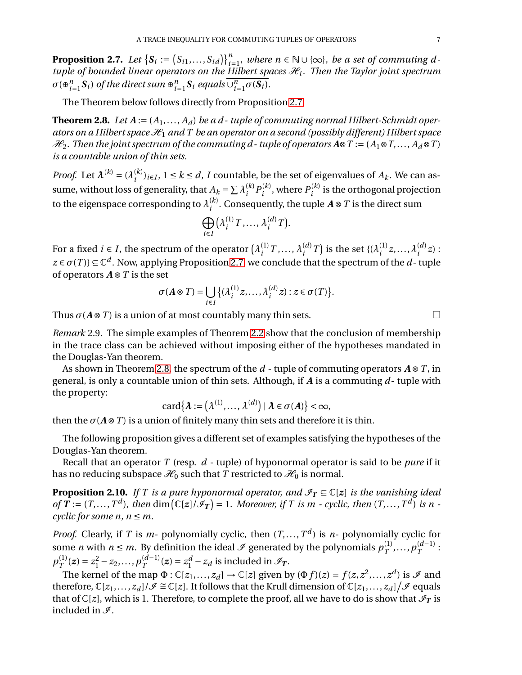<span id="page-6-0"></span>**Proposition 2.7.** *Let*  $\{S_i := (S_{i1},...,S_{id})\}_{i=1}^n$  *where*  $n \in \mathbb{N} \cup \{\infty\}$ *, be a set of commuting di* **i** *containt*  $f(x_1, ..., x_{i-1})$  *i*<sub>*i*</sub> *i*<sub>*i*</sub> *lines i*  $f(x_1, ..., x_{i-1})$  *i*<sub>*i*</sub> *lilent spaces H<sub>i</sub>*. Then the Taylor joint spectrum  $\sigma$ ( $\oplus_{i=1}^n$  $\sum_{i=1}^{n}$ **S**<sub>*i*</sub>) of the direct sum  $\oplus_{i=1}^{n}$  $\sum_{i=1}^{n}$ **S**<sub>*i*</sub> *equals* ∪ $\frac{n}{i}$  $\frac{n}{i=1}\sigma(\mathbf{S}_i)$ .

The Theorem below follows directly from Proposition [2.7.](#page-6-0)

<span id="page-6-1"></span>**Theorem 2.8.** Let  $A := (A_1, \ldots, A_d)$  be a d-tuple of commuting normal Hilbert-Schmidt oper*ators on a Hilbert space*  $\mathcal{H}_1$  *and T be an operator on a second (possibly different) Hilbert space*  $\mathcal{H}_2$ . Then the joint spectrum of the commuting d - tuple of operators  $A \otimes T := (A_1 \otimes T, \ldots, A_d \otimes T)$ *is a countable union of thin sets.*

*Proof.* Let  $\boldsymbol{\lambda}^{(k)} = (\lambda_i^{(k)})$  $i^{(k)}$ <sub>*i*</sub> i − *i* ≤ *k* ≤ *d*, *I* countable, be the set of eigenvalues of *A*<sub>*k*</sub>. We can assume, without loss of generality, that  $A_k = \sum_i \lambda_i^{(k)}$  $i^{(k)}P_i^{(k)}$  $p_i^{(k)}$ , where  $P_i^{(k)}$  $i^{(k)}$  is the orthogonal projection to the eigenspace corresponding to  $\lambda_i^{(k)}$  $i^{(k)}$ . Consequently, the tuple  $A \otimes T$  is the direct sum

$$
\bigoplus_{i\in I} \left(\lambda_i^{(1)} T, \ldots, \lambda_i^{(d)} T\right).
$$

For a fixed *i*  $\in$  *I*, the spectrum of the operator  $(\lambda_i^{(1)})$  $\lambda_i^{(1)}$  *T*, ...,  $\lambda_i^{(d)}$  $\binom{d}{i}$  *T*) is the set {( $\lambda_i^{(1)}$  $\lambda_i^{(1)}$  z, ...,  $\lambda_i^{(d)}$  $\binom{u}{i}$ z) :  $z \in \sigma(T)$ }  $\subseteq \mathbb{C}^d$ . Now, applying Proposition [2.7,](#page-6-0) we conclude that the spectrum of the *d*-tuple of operators *<sup>A</sup>* <sup>⊗</sup>*<sup>T</sup>* is the set

$$
\sigma(A \otimes T) = \bigcup_{i \in I} \{ (\lambda_i^{(1)} z, \dots, \lambda_i^{(d)} z) : z \in \sigma(T) \}.
$$

Thus  $\sigma(A \otimes T)$  is a union of at most countably many thin sets.

*Remark* 2.9*.* The simple examples of Theorem [2.2](#page-3-3) show that the conclusion of membership in the trace class can be achieved without imposing either of the hypotheses mandated in the Douglas-Yan theorem.

As shown in Theorem [2.8,](#page-6-1) the spectrum of the *<sup>d</sup>* - tuple of commuting operators *<sup>A</sup>* <sup>⊗</sup>*<sup>T</sup>* , in general, is only a countable union of thin sets. Although, if *A* is a commuting *d*- tuple with the property:

$$
card\{\boldsymbol{\lambda} := (\lambda^{(1)}, \ldots, \lambda^{(d)}) \mid \boldsymbol{\lambda} \in \sigma(A)\} < \infty,
$$

then the  $\sigma(A \otimes T)$  is a union of finitely many thin sets and therefore it is thin.

The following proposition gives a different set of examples satisfying the hypotheses of the Douglas-Yan theorem.

Recall that an operator *T* (resp. *d* - tuple) of hyponormal operator is said to be *pure* if it has no reducing subspace  $\mathcal{H}_0$  such that *T* restricted to  $\mathcal{H}_0$  is normal.

**Proposition 2.10.** *If T is a pure hyponormal operator, and*  $\mathscr{I}_T \subseteq \mathbb{C}[z]$  *is the vanishing ideal of*  $T := (T, ..., T^d)$ , then dim  $(\mathbb{C}[z]/\mathcal{I}_T) = 1$ . Moreover, if T is m - cyclic, then  $(T, ..., T^d)$  is n *cyclic for some n,*  $n \leq m$ *.* 

*Proof.* Clearly, if *T* is *m*- polynomially cyclic, then  $(T, \ldots, T^d)$  is *n*- polynomially cyclic for some *n* with  $n \le m$ . By definition the ideal  $\mathcal I$  generated by the polynomials  $p_T^{(1)}$  $p_T^{(1)},...,p_T^{(d-1)}:$  $p_{\scriptscriptstyle T}^{\scriptscriptstyle (1)}$  $T^{(1)}(z) = z_1^2 - z_2, \ldots, p_T^{(d-1)}(z) = z_1^d - z_d$  is included in  $\mathcal{I}_T$ .

The kernel of the map  $\Phi : \mathbb{C}[z_1,\ldots,z_d] \to \mathbb{C}[z]$  given by  $(\Phi f)(z) = f(z, z^2, \ldots, z^d)$  is  $\mathcal I$  and therefore,  $\mathbb{C}[z_1,\ldots,z_d]/\mathscr{I} \cong \mathbb{C}[z]$ . It follows that the Krull dimension of  $\mathbb{C}[z_1,\ldots,z_d]/\mathscr{I}$  equals that of  $\mathbb{C}[z]$ , which is 1. Therefore, to complete the proof, all we have to do is show that  $\mathscr{I}_T$  is included in  $\mathcal{I}$ .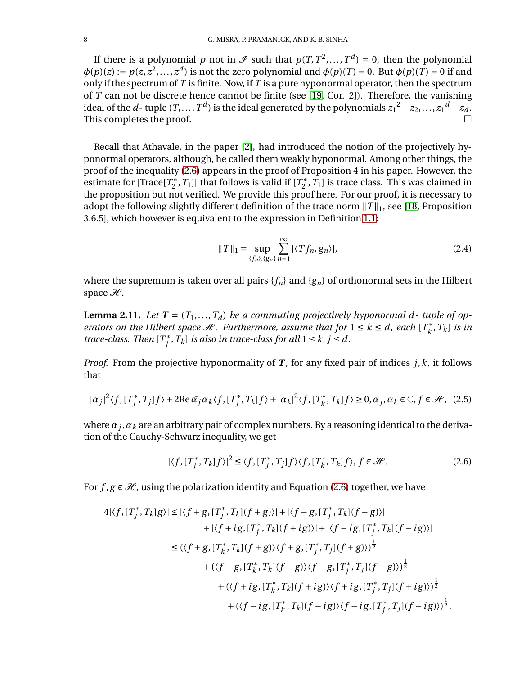If there is a polynomial *p* not in  $\mathcal{I}$  such that  $p(T, T^2, ..., T^d) = 0$ , then the polynomial  $\phi(p)(z) := p(z, z^2, \ldots, z^d)$  is not the zero polynomial and  $\phi(p)(T) = 0$ . But  $\phi(p)(T) = 0$  if and only if the spectrum of *T* is finite. Now, if *T* is a pure hyponormal operator, then the spectrum of *T* can not be discrete hence cannot be finite (see [\[19,](#page-28-7) Cor. 2]). Therefore, the vanishing ideal of the *d*-tuple  $(T, ..., T^d)$  is the ideal generated by the polynomials  $z_1^2 - z_2, ..., z_1^d - z_d$ . This completes the proof.

Recall that Athavale, in the paper [\[2\]](#page-28-4), had introduced the notion of the projectively hyponormal operators, although, he called them weakly hyponormal. Among other things, the proof of the inequality [\(2.6\)](#page-7-0) appears in the proof of Proposition 4 in his paper. However, the estimate for  $|Trace[T_2^*, T_1]|$  that follows is valid if  $[T_2^*, T_1]$  is trace class. This was claimed in the proposition but not verified. We provide this proof here. For our proof, it is necessary to adopt the following slightly different definition of the trace norm  $||T||_1$ , see [\[18,](#page-28-9) Proposition 3.6.5], which however is equivalent to the expression in Definition [1.1:](#page-1-0)

<span id="page-7-1"></span>
$$
||T||_1 = \sup_{\{f_n\},\{g_n\}} \sum_{n=1}^{\infty} |\langle Tf_n, g_n \rangle|, \tag{2.4}
$$

where the supremum is taken over all pairs  ${f_n}$  and  ${g_n}$  of orthonormal sets in the Hilbert space  $\mathcal{H}$ .

<span id="page-7-2"></span>**Lemma 2.11.** Let  $T = (T_1, ..., T_d)$  be a commuting projectively hyponormal d- tuple of op*erators on the Hilbert space*  $\mathcal{H}$ *. Furthermore, assume that for*  $1 \leq k \leq d$ *, each*  $[T_k^*, T_k]$  *is in trace-class.* Then  $[T_j^*, T_k]$  *is also in trace-class for all*  $1 \leq k, j \leq d$ .

*Proof.* From the projective hyponormality of *T* , for any fixed pair of indices *j*,*k*, it follows that

$$
|\alpha_j|^2 \langle f, [T_j^*, T_j]f \rangle + 2\operatorname{Re} \bar{\alpha}_j \alpha_k \langle f, [T_j^*, T_k]f \rangle + |\alpha_k|^2 \langle f, [T_k^*, T_k]f \rangle \ge 0, \alpha_j, \alpha_k \in \mathbb{C}, f \in \mathcal{H}, (2.5)
$$

where  $\alpha_j,\alpha_k$  are an arbitrary pair of complex numbers. By a reasoning identical to the derivation of the Cauchy-Schwarz inequality, we get

<span id="page-7-0"></span>
$$
|\langle f, [T_j^*, T_k]f \rangle|^2 \le \langle f, [T_j^*, T_j]f \rangle \langle f, [T_k^*, T_k]f \rangle, f \in \mathcal{H}.
$$
 (2.6)

For  $f, g \in \mathcal{H}$ , using the polarization identity and Equation [\(2.6\)](#page-7-0) together, we have

$$
4|\langle f, [T_j^*, T_k]g \rangle| \le |\langle f + g, [T_j^*, T_k](f + g) \rangle| + |\langle f - g, [T_j^*, T_k](f - g) \rangle|
$$
  
+ |\langle f + ig, [T\_j^\*, T\_k](f + ig) \rangle| + |\langle f - ig, [T\_j^\*, T\_k](f - ig) \rangle|  

$$
\le (\langle f + g, [T_k^*, T_k](f + g) \rangle \langle f + g, [T_j^*, T_j](f + g) \rangle)^{\frac{1}{2}}
$$
  
+ |\langle f - g, [T\_k^\*, T\_k](f - g) \rangle \langle f - g, [T\_j^\*, T\_j](f - g) \rangle)^{\frac{1}{2}}  
+ |\langle f + ig, [T\_k^\*, T\_k](f + ig) \rangle \langle f + ig, [T\_j^\*, T\_j](f + ig) \rangle)^{\frac{1}{2}}  
+ |\langle f - ig, [T\_k^\*, T\_k](f - ig) \rangle \langle f - ig, [T\_j^\*, T\_j](f - ig) \rangle)^{\frac{1}{2}}.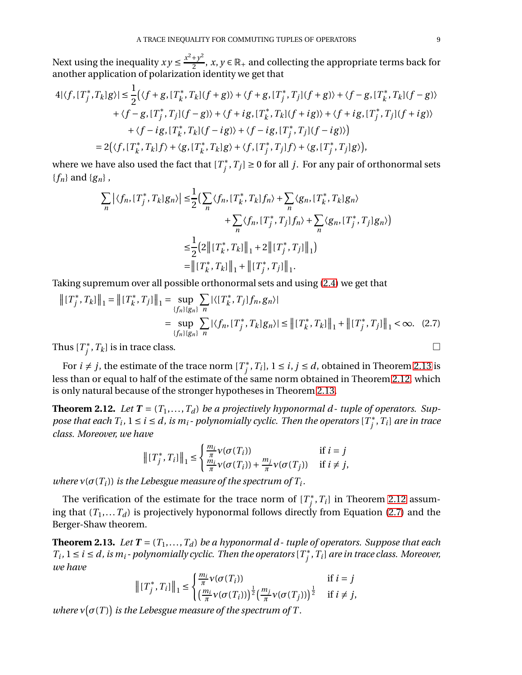Next using the inequality  $xy \le \frac{x^2 + y^2}{2}$  $\frac{y+y^2}{2}$ , *x*, *y*  $\in \mathbb{R}_+$  and collecting the appropriate terms back for another application of polarization identity we get that

$$
4|\langle f, [T_j^*, T_k]g \rangle| \le \frac{1}{2} (\langle f+g, [T_k^*, T_k](f+g) \rangle + \langle f+g, [T_j^*, T_j](f+g) \rangle + \langle f-g, [T_k^*, T_k](f-g) \rangle + \langle f-g, [T_j^*, T_j](f-g) \rangle + \langle f+ig, [T_k^*, T_k](f+ig) \rangle + \langle f+ig, [T_j^*, T_j](f+ig) \rangle + \langle f-ig, [T_k^*, T_k](f-ig) \rangle + \langle f-ig, [T_j^*, T_j](f-ig) \rangle = 2(\langle f, [T_k^*, T_k]f \rangle + \langle g, [T_k^*, T_k]g \rangle + \langle f, [T_j^*, T_j]f \rangle + \langle g, [T_j^*, T_j]g \rangle),
$$

where we have also used the fact that  $[T^*_j, T_j] \geq 0$  for all  $j.$  For any pair of orthonormal sets {*fn*} and {*gn*} ,

$$
\sum_{n} |\langle f_n, [T_j^*, T_k] g_n \rangle| \leq \frac{1}{2} \Big( \sum_{n} \langle f_n, [T_k^*, T_k] f_n \rangle + \sum_{n} \langle g_n, [T_k^*, T_k] g_n \rangle + \sum_{n} \langle f_n, [T_j^*, T_j] f_n \rangle + \sum_{n} \langle g_n, [T_j^*, T_j] g_n \rangle \Big)
$$
  

$$
\leq \frac{1}{2} \Big( 2 \big[ \|T_k^*, T_k\| \|_1 + 2 \big[ \|T_j^*, T_j\| \|_1 \Big)
$$
  

$$
= \big[ \|T_k^*, T_k\| \|_1 + \big[ \|T_j^*, T_j\| \|_1 \Big].
$$

Taking supremum over all possible orthonormal sets and using [\(2.4\)](#page-7-1) we get that

$$
\begin{aligned} \left\| [T_j^*, T_k] \right\|_1 &= \left\| [T_k^*, T_j] \right\|_1 = \sup_{\{f_n\} \{g_n\}} \sum_n |\langle [T_k^*, T_j] f_n, g_n \rangle| \\ &= \sup_{\{f_n\} \{g_n\}} \sum_n |\langle f_n, [T_j^*, T_k] g_n \rangle| \le \left\| [T_k^*, T_k] \right\|_1 + \left\| [T_j^*, T_j] \right\|_1 < \infty. \tag{2.7} \end{aligned}
$$

Thus  $[T_j^*, T_k]$  is in trace class.

For  $i \neq j$ , the estimate of the trace norm  $[T^*_j, T_i]$ ,  $1 \leq i, j \leq d$ , obtained in Theorem [2.13](#page-8-1) is less than or equal to half of the estimate of the same norm obtained in Theorem [2.12,](#page-8-0) which is only natural because of the stronger hypotheses in Theorem [2.13.](#page-8-1)

<span id="page-8-0"></span>**Theorem 2.12.** Let  $T = (T_1, \ldots, T_d)$  be a projectively hyponormal d-tuple of operators. Sup*pose that each*  $T_i$ *,*  $1 \leq i \leq d$ *, is*  $m_i$  *- polynomially cyclic. Then the operators*  $[T^*_j, T_i]$  *are in trace class. Moreover, we have*

<span id="page-8-2"></span>
$$
\left\| [T_j^*, T_i] \right\|_1 \leq \begin{cases} \frac{m_i}{\pi} \nu(\sigma(T_i)) & \text{if } i = j\\ \frac{m_i}{\pi} \nu(\sigma(T_i)) + \frac{m_j}{\pi} \nu(\sigma(T_j)) & \text{if } i \neq j, \end{cases}
$$

*where*  $v(\sigma(T_i))$  *is the Lebesgue measure of the spectrum of*  $T_i$ *.* 

The verification of the estimate for the trace norm of  $[T^*_j, T_i]$  in Theorem [2.12](#page-8-0) assuming that  $(T_1,...,T_d)$  is projectively hyponormal follows directly from Equation [\(2.7\)](#page-8-2) and the Berger-Shaw theorem.

<span id="page-8-1"></span>**Theorem 2.13.** *Let*  $T = (T_1, ..., T_d)$  *be a hyponormal d-tuple of operators. Suppose that each*  $T_i$ ,  $1 \le i \le d$ , is  $m_i$  - polynomially cyclic. Then the operators  $[T^*_j, T_i]$  are in trace class. Moreover, *we have*

$$
\left\| [T_j^*, T_i] \right\|_1 \leq \begin{cases} \frac{m_i}{\pi} \nu(\sigma(T_i)) & \text{if } i = j\\ \left( \frac{m_i}{\pi} \nu(\sigma(T_i)) \right)^{\frac{1}{2}} \left( \frac{m_j}{\pi} \nu(\sigma(T_j)) \right)^{\frac{1}{2}} & \text{if } i \neq j, \end{cases}
$$

*where*  $v(\sigma(T))$  *is the Lebesgue measure of the spectrum of T.*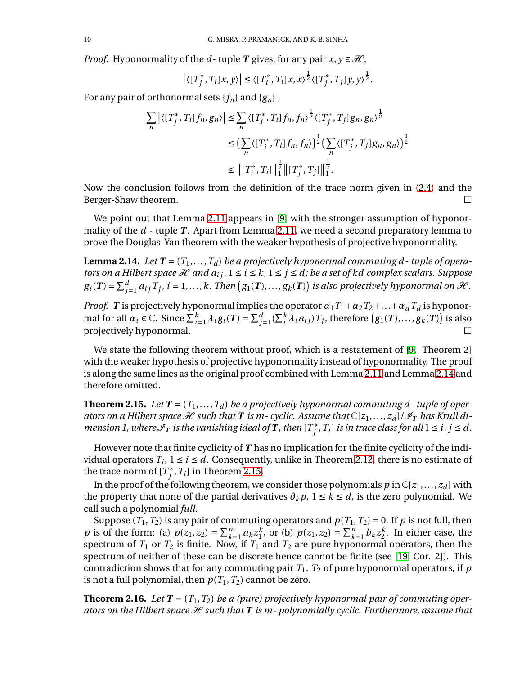*Proof.* Hyponormality of the *d*-tuple *T* gives, for any pair  $x, y \in \mathcal{H}$ ,

$$
\left| \langle [T_j^*, T_i] x, y \rangle \right| \leq \langle [T_i^*, T_i] x, x \rangle^{\frac{1}{2}} \langle [T_j^*, T_j] y, y \rangle^{\frac{1}{2}}.
$$

For any pair of orthonormal sets  $\{f_n\}$  and  $\{g_n\}$ ,

$$
\sum_{n} |\langle [T_{j}^{*}, T_{i}] f_{n}, g_{n} \rangle| \leq \sum_{n} \langle [T_{i}^{*}, T_{i}] f_{n}, f_{n} \rangle^{\frac{1}{2}} \langle [T_{j}^{*}, T_{j}] g_{n}, g_{n} \rangle^{\frac{1}{2}}
$$
  

$$
\leq \left( \sum_{n} \langle [T_{i}^{*}, T_{i}] f_{n}, f_{n} \rangle \right)^{\frac{1}{2}} \left( \sum_{n} \langle [T_{j}^{*}, T_{j}] g_{n}, g_{n} \rangle \right)^{\frac{1}{2}}
$$
  

$$
\leq ||[T_{i}^{*}, T_{i}]||_{1}^{\frac{1}{2}} ||[T_{j}^{*}, T_{j}]||_{1}^{\frac{1}{2}}.
$$

Now the conclusion follows from the definition of the trace norm given in [\(2.4\)](#page-7-1) and the Berger-Shaw theorem.

We point out that Lemma [2.11](#page-7-2) appears in [\[9\]](#page-28-5) with the stronger assumption of hyponormality of the *d* - tuple *T*. Apart from Lemma [2.11,](#page-7-2) we need a second preparatory lemma to prove the Douglas-Yan theorem with the weaker hypothesis of projective hyponormality.

<span id="page-9-1"></span>**Lemma 2.14.** Let  $T = (T_1, \ldots, T_d)$  be a projectively hyponormal commuting d-tuple of opera*tors on a Hilbert space*  $\mathcal H$  *and*  $a_{ij}$ *,*  $1 \leq i \leq k$ ,  $1 \leq j \leq d$ ; *be a set of kd complex scalars. Suppose*  $g_i(T) = \sum_j^d$  $j=1 \ a_{ij} T_j$ ,  $i=1,\ldots,k$ . Then  $(g_1(T),\ldots,g_k(T))$  is also projectively hyponormal on  $\mathcal{H}$ .

*Proof. T* is projectively hyponormal implies the operator  $\alpha_1 T_1 + \alpha_2 T_2 + ... + \alpha_d T_d$  is hyponormal for all  $\alpha_i \in \mathbb{C}$ . Since  $\sum_{i=1}^k \lambda_i g_i(T) = \sum_{j=1}^d (\sum_i^k \lambda_i a_{ij}) T_j$ , therefore  $(g_1(T), \ldots, g_k(T))$  is also projectively hyponormal.  $\square$ 

We state the following theorem without proof, which is a restatement of [\[9,](#page-28-5) Theorem 2] with the weaker hypothesis of projective hyponormality instead of hyponormality. The proof is along the same lines as the original proof combined with Lemma [2.11](#page-7-2) and Lemma [2.14](#page-9-1) and therefore omitted.

<span id="page-9-0"></span>**Theorem 2.15.** Let  $T = (T_1, ..., T_d)$  be a projectively hyponormal commuting d-tuple of oper*ators on a Hilbert space*  $\mathcal H$  *such that* **T** *is m-cyclic. Assume that*  $\mathbb C[z_1,\ldots,z_d]/\mathcal I_T$  *has Krull dimension 1, where*  $\mathscr{I}_T$  *is the vanishing ideal of*  $T$ *, then*  $[T_j^*, T_i]$  *is in trace class for all*  $1 \le i, j \le d$ *.* 

However note that finite cyclicity of *T* has no implication for the finite cyclicity of the individual operators  $T_i$ ,  $1 \le i \le d$ . Consequently, unlike in Theorem [2.12,](#page-8-0) there is no estimate of the trace norm of  $[T_j^*, T_i]$  in Theorem [2.15.](#page-9-0)

In the proof of the following theorem, we consider those polynomials  $p$  in  $\mathbb{C}[z_1,\ldots,z_d]$  with the property that none of the partial derivatives  $\partial_k p$ ,  $1 \leq k \leq d$ , is the zero polynomial. We call such a polynomial *full*.

Suppose  $(T_1, T_2)$  is any pair of commuting operators and  $p(T_1, T_2) = 0$ . If p is not full, then *p* is of the form: (a)  $p(z_1, z_2) = \sum_{k=1}^{m} p(k) p(k)$  $\sum_{k=1}^m a_k z_1^k$  $_1^k$ , or (b)  $p(z_1, z_2) = \sum_k^n$  $\sum_{k=1}^{n} b_k z_2^k$  $\frac{k}{2}$ . In either case, the spectrum of  $T_1$  or  $T_2$  is finite. Now, if  $T_1$  and  $T_2$  are pure hyponormal operators, then the spectrum of neither of these can be discrete hence cannot be finite (see [\[19,](#page-28-7) Cor. 2]). This contradiction shows that for any commuting pair *T*1, *T*<sup>2</sup> of pure hyponormal operators, if *p* is not a full polynomial, then  $p(T_1, T_2)$  cannot be zero.

**Theorem 2.16.** Let  $T = (T_1, T_2)$  be a (pure) projectively hyponormal pair of commuting oper*ators on the Hilbert space* H *such that T is m- polynomially cyclic. Furthermore, assume that*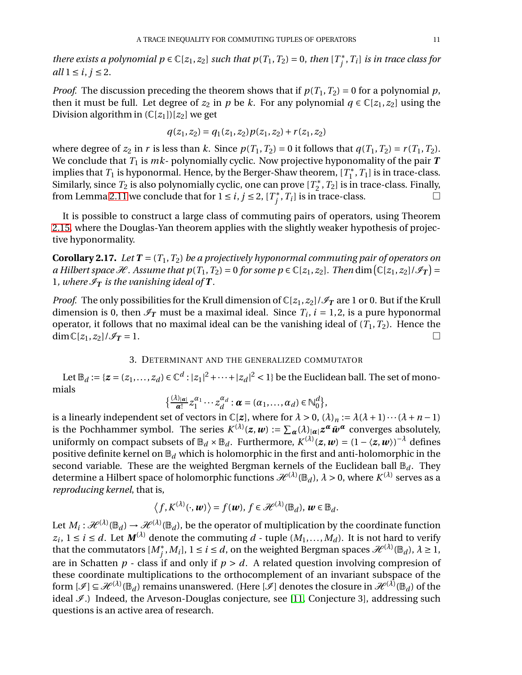*there exists a polynomial*  $p \in \mathbb{C}[z_1, z_2]$  *such that*  $p(T_1, T_2) = 0$ *, then*  $[T_j^*, T_i]$  *is in trace class for all*  $1 \le i, j \le 2$ .

*Proof.* The discussion preceding the theorem shows that if  $p(T_1, T_2) = 0$  for a polynomial p, then it must be full. Let degree of  $z_2$  in *p* be *k*. For any polynomial  $q \in \mathbb{C}[z_1, z_2]$  using the Division algorithm in  $(\mathbb{C}[z_1])[z_2]$  we get

$$
q(z_1, z_2) = q_1(z_1, z_2) p(z_1, z_2) + r(z_1, z_2)
$$

where degree of  $z_2$  in  $r$  is less than  $k$ . Since  $p(T_1, T_2) = 0$  it follows that  $q(T_1, T_2) = r(T_1, T_2)$ . We conclude that  $T_1$  is  $mk$ - polynomially cyclic. Now projective hyponomality of the pair  $T$ implies that  $T_1$  is hyponormal. Hence, by the Berger-Shaw theorem,  $[T_1^*, T_1]$  is in trace-class. Similarly, since  $T_2$  is also polynomially cyclic, one can prove  $[T_2^\ast,T_2]$  is in trace-class. Finally, from Lemma [2.11](#page-7-2) we conclude that for  $1 \le i, j \le 2, [T_j^*, T_i]$  is in trace-class.

It is possible to construct a large class of commuting pairs of operators, using Theorem [2.15,](#page-9-0) where the Douglas-Yan theorem applies with the slightly weaker hypothesis of projective hyponormality.

**Corollary 2.17.** *Let*  $T = (T_1, T_2)$  *be a projectively hyponormal commuting pair of operators on a* Hilbert space  $\mathcal{H}$ . Assume that  $p(T_1, T_2) = 0$  for some  $p \in \mathbb{C}[z_1, z_2]$ . Then  $\dim(\mathbb{C}[z_1, z_2]/\mathcal{I}_T) =$ 1, where  $\mathcal{I}_T$  is the vanishing ideal of **T**.

*Proof.* The only possibilities for the Krull dimension of  $\mathbb{C}[z_1, z_2]/\mathcal{I}_T$  are 1 or 0. But if the Krull dimension is 0, then  $\mathcal{I}_T$  must be a maximal ideal. Since  $T_i$ ,  $i = 1, 2$ , is a pure hyponormal operator, it follows that no maximal ideal can be the vanishing ideal of  $(T_1, T_2)$ . Hence the  $\dim \mathbb{C}[z_1, z_2]/\mathscr{I}_T = 1.$ 

# 3. DETERMINANT AND THE GENERALIZED COMMUTATOR

<span id="page-10-0"></span>Let  $\mathbb{B}_d := \{ z = (z_1, ..., z_d) \in \mathbb{C}^d : |z_1|^2 + \cdots + |z_d|^2 < 1 \}$  be the Euclidean ball. The set of monomials

$$
\big\{\frac{(\lambda)_{|\alpha|}}{\alpha!}z_1^{\alpha_1}\cdots z_d^{\alpha_d}:\boldsymbol{\alpha}=(\alpha_1,\ldots,\alpha_d)\in\mathbb{N}_0^d\big\},\
$$

is a linearly independent set of vectors in  $\mathbb{C}[z]$ , where for  $\lambda > 0$ ,  $(\lambda)_n := \lambda(\lambda + 1) \cdots (\lambda + n - 1)$ is the Pochhammer symbol. The series  $K^{(\lambda)}(z,w) := \sum_{\alpha} (\lambda)_{|\alpha|} z^{\alpha} \bar{w}^{\alpha}$  converges absolutely, uniformly on compact subsets of  $\mathbb{B}_d \times \mathbb{B}_d$ . Furthermore,  $K^{(\lambda)}(z, w) = (1 - \langle z, w \rangle)^{-\lambda}$  defines positive definite kernel on B*<sup>d</sup>* which is holomorphic in the first and anti-holomorphic in the second variable. These are the weighted Bergman kernels of the Euclidean ball  $\mathbb{B}_d$ . They determine a Hilbert space of holomorphic functions  $\mathcal{H}^{(\lambda)}(\mathbb{B}_d)$ ,  $\lambda > 0$ , where  $K^{(\lambda)}$  serves as a *reproducing kernel*, that is,

$$
\langle f, K^{(\lambda)}(\cdot, \boldsymbol{w}) \rangle = f(\boldsymbol{w}), f \in \mathcal{H}^{(\lambda)}(\mathbb{B}_d), \boldsymbol{w} \in \mathbb{B}_d.
$$

Let  $M_i: \mathcal{H}^{(\lambda)}(\mathbb{B}_d) \to \mathcal{H}^{(\lambda)}(\mathbb{B}_d)$ , be the operator of multiplication by the coordinate function  $z_i, 1 \leq i \leq d$ . Let  $M^{(\lambda)}$  denote the commuting *d* - tuple  $(M_1, \ldots, M_d)$ . It is not hard to verify that the commutators  $[M_j^*,M_i],\,1\leq i\leq d,$  on the weighted Bergman spaces  $\mathscr{H}^{(\lambda)}(\mathbb{B}_d),\,\lambda\geq 1,$ are in Schatten  $p$  - class if and only if  $p > d$ . A related question involving compresion of these coordinate multiplications to the orthocomplement of an invariant subspace of the form  $[\mathcal{I}] \subseteq \mathcal{H}^{(\lambda)}(\mathbb{B}_d)$  remains unanswered. (Here  $[\mathcal{I}]$  denotes the closure in  $\mathcal{H}^{(\lambda)}(\mathbb{B}_d)$  of the ideal  $\mathcal{I}$ .) Indeed, the Arveson-Douglas conjecture, see [\[11,](#page-28-10) Conjecture 3], addressing such questions is an active area of research.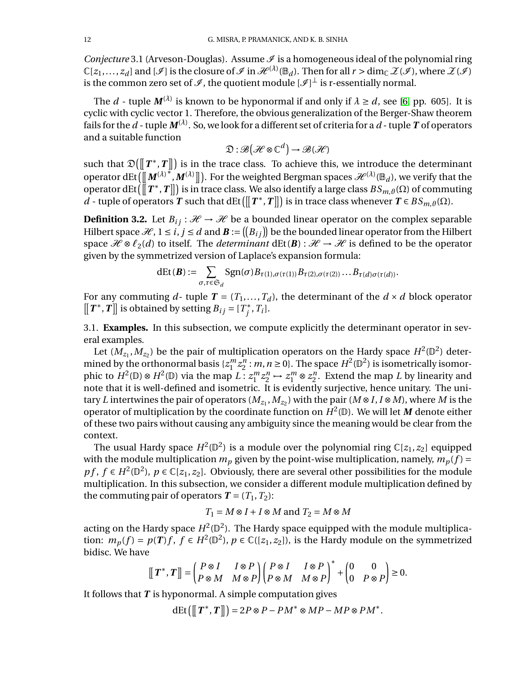*Conjecture* 3.1 (Arveson-Douglas). Assume  $\mathcal I$  is a homogeneous ideal of the polynomial ring  $\mathbb{C}[z_1,\ldots,z_d]$  and  $[\mathscr{I}]$  is the closure of  $\mathscr{I}$  in  $\mathscr{H}^{(\lambda)}(\mathbb{B}_d)$ . Then for all  $r > \dim_{\mathbb{C}} \mathscr{Z}(\mathscr{I})$ , where  $\mathscr{Z}(\mathscr{I})$ is the common zero set of  $\mathscr I$  , the quotient module  $[\mathscr I]^\bot$  is r-essentially normal.

The *d* - tuple  $M^{(\lambda)}$  is known to be hyponormal if and only if  $\lambda \ge d$ , see [\[6,](#page-28-11) pp. 605]. It is cyclic with cyclic vector 1. Therefore, the obvious generalization of the Berger-Shaw theorem fails for the  $d$  - tuple  $\pmb{M}^{(\lambda)}$ . So, we look for a different set of criteria for a  $d$  - tuple  $\pmb{T}$  of operators and a suitable function

$$
\mathfrak{D}:\mathscr{B}(\mathcal{H}\otimes\mathbb{C}^d)\to\mathscr{B}(\mathcal{H})
$$

such that  $\mathfrak{D}(\llbracket T^*,T \rrbracket)$  is in the trace class. To achieve this, we introduce the determinant operator  $\det([{[M^{(\lambda)}}^*,M^{(\lambda)}]])$ . For the weighted Bergman spaces  $\mathscr{H}^{(\lambda)}(\mathbb{B}_d)$ , we verify that the operator dEt  $(\![T^*, T]\!]$  is in trace class. We also identify a large class  $BS_{m, \vartheta}(\Omega)$  of commuting *d* - tuple of operators *T* such that dEt ( $[[T^*, T]]$ ) is in trace class whenever  $T \in BS_{m, \vartheta}(\Omega)$ .

**Definition 3.2.** Let  $B_{ij}: \mathcal{H} \to \mathcal{H}$  be a bounded linear operator on the complex separable Hilbert space  $\mathcal{H}$ ,  $1 \le i, j \le d$  and  $\mathbf{B} := ([B_{ij}])$  be the bounded linear operator from the Hilbert space  $\mathcal{H} \otimes \ell_2(d)$  to itself. The *determinant* dEt(**B**) :  $\mathcal{H} \to \mathcal{H}$  is defined to be the operator given by the symmetrized version of Laplace's expansion formula:

$$
dEt(\boldsymbol{B}) := \sum_{\sigma,\tau \in \mathfrak{S}_d} \text{Sgn}(\sigma) B_{\tau(1),\sigma(\tau(1))} B_{\tau(2),\sigma(\tau(2))} \dots B_{\tau(d)\sigma(\tau(d))}.
$$

For any commuting  $d$ - tuple  $T = (T_1, ..., T_d)$ , the determinant of the  $d \times d$  block operator  $[[T^*, T]]$  is obtained by setting  $B_{ij} = [T_j^*, T_i].$ 

3.1. **Examples.** In this subsection, we compute explicitly the determinant operator in several examples.

Let  $(M_{z_1}, M_{z_2})$  be the pair of multiplication operators on the Hardy space  $H^2(\mathbb{D}^2)$  determined by the orthonormal basis  $\{z_1^m\}$  $\binom{m}{1}$   $z_2^n$  $n_2^n$ : *m*, *n*  $\ge$  0}. The space  $H^2(\mathbb{D}^2)$  is isometrically isomorphic to  $H^2(\mathbb{D}) \otimes H^2(\mathbb{D})$  via the map  $L: z_1^m$  $\binom{m}{1}$   $z_2^n$  $z_2^n \mapsto z_1^m \otimes z_2^n$  $n<sub>2</sub>$ . Extend the map *L* by linearity and note that it is well-defined and isometric. It is evidently surjective, hence unitary. The unitary *L* intertwines the pair of operators ( $M_{z_1}, M_{z_2}$ ) with the pair ( $M \otimes I, I \otimes M$ ), where  $M$  is the operator of multiplication by the coordinate function on  $H^2(\mathbb{D})$ . We will let M denote either of these two pairs without causing any ambiguity since the meaning would be clear from the context.

The usual Hardy space  $H^2(\mathbb{D}^2)$  is a module over the polynomial ring  $\mathbb{C}[z_1,z_2]$  equipped with the module multiplication  $m_p$  given by the point-wise multiplication, namely,  $m_p(f)$  = *pf*, *f* ∈ *H*<sup>2</sup>( $\mathbb{D}^2$ ), *p* ∈  $\mathbb{C}[z_1, z_2]$ . Obviously, there are several other possibilities for the module multiplication. In this subsection, we consider a different module multiplication defined by the commuting pair of operators  $T = (T_1, T_2)$ :

$$
T_1 = M \otimes I + I \otimes M
$$
 and  $T_2 = M \otimes M$ 

acting on the Hardy space  $H^2(\mathbb{D}^2)$ . The Hardy space equipped with the module multiplication:  $m_p(f) = p(T)f$ ,  $f \in H^2(\mathbb{D}^2)$ ,  $p \in \mathbb{C}([z_1, z_2])$ , is the Hardy module on the symmetrized bidisc. We have

$$
\left[\!\left[ \,T^{\ast}, T \,\right]\!\right] = \begin{pmatrix} P \otimes I & I \otimes P \\ P \otimes M & M \otimes P \end{pmatrix} \begin{pmatrix} P \otimes I & I \otimes P \\ P \otimes M & M \otimes P \end{pmatrix}^{\ast} + \begin{pmatrix} 0 & 0 \\ 0 & P \otimes P \end{pmatrix} \geq 0.
$$

It follows that *T* is hyponormal. A simple computation gives

 $dEt([T^*, T]]) = 2P \otimes P - PM^* \otimes MP - MP \otimes PM^*.$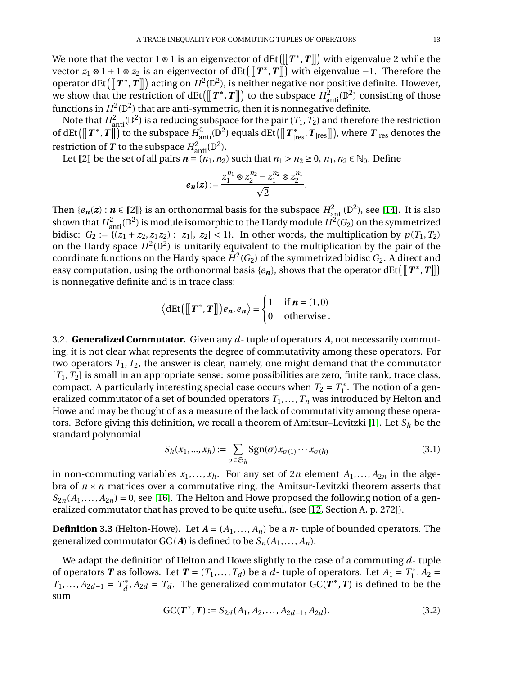We note that the vector 1 ⊗ 1 is an eigenvector of  $\text{dEt}(\llbracket T^*, T \rrbracket)$  with eigenvalue 2 while the vector  $z_1 \otimes 1 + 1 \otimes z_2$  is an eigenvector of dEt $(\llbracket T^*, T \rrbracket)$  with eigenvalue −1. Therefore the operator dEt ( $[[T^*, T]]$ ) acting on  $H^2(\mathbb{D}^2)$ , is neither negative nor positive definite. However, we show that the restriction of dEt( $[[T^*,T]]$ ) to the subspace  $H^2_{\text{anti}}(\mathbb{D}^2)$  consisting of those functions in  $H^2(\mathbb{D}^2)$  that are anti-symmetric, then it is nonnegative definite.

Note that  $H_{\text{anti}}^2(\mathbb{D}^2)$  is a reducing subspace for the pair  $(T_1, T_2)$  and therefore the restriction of dEt  $(\llbracket T^*, T \rrbracket)$  to the subspace  $H^2_{\text{anti}}(\mathbb{D}^2)$  equals dEt  $(\llbracket T^*_{\text{ires}}, T_{\text{ires}} \rrbracket)$ , where  $T_{\text{ires}}$  denotes the restriction of  $T$  to the subspace  $H^2_{\text{anti}}(\mathbb{D}^2)$ .

Let [2] be the set of all pairs  $n = (n_1, n_2)$  such that  $n_1 > n_2 \ge 0$ ,  $n_1, n_2 \in \mathbb{N}_0$ . Define

$$
e_n(z) := \frac{z_1^{n_1} \otimes z_2^{n_2} - z_1^{n_2} \otimes z_2^{n_1}}{\sqrt{2}}.
$$

Then  $\{e_n(z): n \in [\![2]\!] \}$  is an orthonormal basis for the subspace  $H^2_{\text{anti}}(\mathbb{D}^2)$ , see [\[14\]](#page-28-12). It is also shown that  $H^2_{\rm anti}({\mathbb D}^2)$  is module isomorphic to the Hardy module  $H^2(G_2)$  on the symmetrized bidisc:  $G_2 := \{(z_1 + z_2, z_1 z_2) : |z_1|, |z_2| < 1\}$ . In other words, the multiplication by  $p(T_1, T_2)$ on the Hardy space  $H^2(\mathbb{D}^2)$  is unitarily equivalent to the multiplication by the pair of the coordinate functions on the Hardy space  $H^2(G_2)$  of the symmetrized bidisc  $G_2$ . A direct and easy computation, using the orthonormal basis { $e_n$ }, shows that the operator dEt( $[[T^*, T]]$ ) is nonnegative definite and is in trace class:

$$
\langle \det([\![T^*, T]\!]) e_n, e_n \rangle = \begin{cases} 1 & \text{if } n = (1,0) \\ 0 & \text{otherwise} \end{cases}.
$$

3.2. **Generalized Commutator.** Given any *d*- tuple of operators *A*, not necessarily commuting, it is not clear what represents the degree of commutativity among these operators. For two operators  $T_1, T_2$ , the answer is clear, namely, one might demand that the commutator  $[T_1, T_2]$  is small in an appropriate sense: some possibilities are zero, finite rank, trace class, compact. A particularly interesting special case occurs when  $T_2 = T_1^*$ . The notion of a generalized commutator of a set of bounded operators  $T_1$ ,...,  $T_n$  was introduced by Helton and Howe and may be thought of as a measure of the lack of commutativity among these operators. Before giving this definition, we recall a theorem of Amitsur–Levitzki [\[1\]](#page-28-13). Let *S<sup>h</sup>* be the standard polynomial

$$
S_h(x_1, ..., x_h) := \sum_{\sigma \in \mathfrak{S}_h} \text{Sgn}(\sigma) x_{\sigma(1)} \cdots x_{\sigma(h)}
$$
(3.1)

in non-commuting variables  $x_1, \ldots, x_h$ . For any set of 2*n* element  $A_1, \ldots, A_{2n}$  in the algebra of  $n \times n$  matrices over a commutative ring, the Amitsur-Levitzki theorem asserts that  $S_{2n}(A_1,...,A_{2n}) = 0$ , see [\[16\]](#page-28-6). The Helton and Howe proposed the following notion of a generalized commutator that has proved to be quite useful, (see [\[12,](#page-28-14) Section A, p. 272]).

<span id="page-12-0"></span>**Definition 3.3** (Helton-Howe). Let  $A = (A_1, \ldots, A_n)$  be a *n*-tuple of bounded operators. The generalized commutator  $GC(A)$  is defined to be  $S_n(A_1,..., A_n)$ .

We adapt the definition of Helton and Howe slightly to the case of a commuting *d*- tuple of operators *T* as follows. Let  $T = (T_1, ..., T_d)$  be a *d*-tuple of operators. Let  $A_1 = T_1^*$ ,  $A_2 =$ *T*<sub>1</sub>,..., *A*<sub>2*d*−1</sub> =  $T_d^*$ , *A*<sub>2*d*</sub> =  $T_d$ . The generalized commutator GC(*T*<sup>\*</sup>, *T*) is defined to be the sum

$$
GC(T^*, T) := S_{2d}(A_1, A_2, \dots, A_{2d-1}, A_{2d}).
$$
\n(3.2)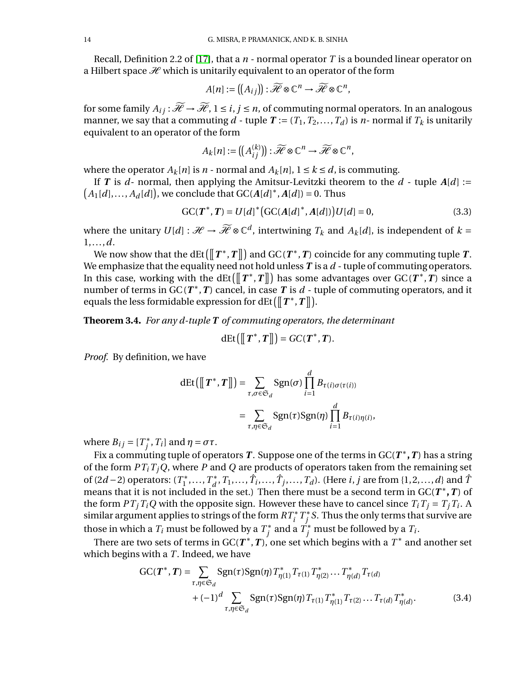Recall, Definition 2.2 of [\[17\]](#page-28-15), that a  $n$  - normal operator  $T$  is a bounded linear operator on a Hilbert space  $\mathcal{H}$  which is unitarily equivalent to an operator of the form

$$
A[n] := ([A_{ij}]): \widetilde{\mathscr{H}} \otimes \mathbb{C}^n \to \widetilde{\mathscr{H}} \otimes \mathbb{C}^n,
$$

for some family  $A_{ij}$  :  $\widetilde{\mathcal{H}} \to \widetilde{\mathcal{H}}$ ,  $1 \le i, j \le n$ , of commuting normal operators. In an analogous manner, we say that a commuting  $d$  - tuple  $T := (T_1, T_2, ..., T_d)$  is *n*- normal if  $T_k$  is unitarily equivalent to an operator of the form

$$
A_k[n] := \left( \left( A_{ij}^{(k)} \right) \right) : \widetilde{\mathscr{H}} \otimes \mathbb{C}^n \to \widetilde{\mathscr{H}} \otimes \mathbb{C}^n,
$$

where the operator  $A_k[n]$  is  $n$  - normal and  $A_k[n]$ ,  $1 \le k \le d$ , is commuting.

If *T* is *d*- normal, then applying the Amitsur-Levitzki theorem to the *d* - tuple  $A[d] :=$  $A_1[d], \ldots, A_d[d]$ , we conclude that  $GC(A[d]^*, A[d]) = 0$ . Thus

<span id="page-13-1"></span>
$$
GC(T^*, T) = U[d]^* (GC(A[d]^*, A[d])) U[d] = 0,
$$
\n(3.3)

<span id="page-13-2"></span>,

where the unitary  $U[d]: \mathcal{H} \to \widetilde{\mathcal{H}} \otimes \mathbb{C}^d$ , intertwining  $T_k$  and  $A_k[d]$ , is independent of  $k =$ 1,...,*d*.

We now show that the  $\text{dEt}\big(\big\|\,T^*,T\big\|\big)$  and  $\text{GC}\,(\pmb{T}^*,\pmb{T})$  coincide for any commuting tuple  $\pmb{T}.$ We emphasize that the equality need not hold unless *T* is a *d* - tuple of commuting operators. In this case, working with the dEt ( $[[T^*, T]]$ ) has some advantages over  $GC(T^*, T)$  since a number of terms in  $GC(T^*,T)$  cancel, in case T is  $d$  - tuple of commuting operators, and it equals the less formidable expression for dEt  $(\llbracket T^*, T \rrbracket).$ 

<span id="page-13-0"></span>**Theorem 3.4.** *For any d-tuple T of commuting operators, the determinant*

$$
dEt([T^*,T]])=GC(T^*,T).
$$

*Proof.* By definition, we have

$$
dEt([[T^*,T]]) = \sum_{\tau,\sigma \in \mathfrak{S}_d} \text{Sgn}(\sigma) \prod_{i=1}^d B_{\tau(i)\sigma(\tau(i))}
$$

$$
= \sum_{\tau,\eta \in \mathfrak{S}_d} \text{Sgn}(\tau) \text{Sgn}(\eta) \prod_{i=1}^d B_{\tau(i)\eta(i)}
$$

where  $B_{ij} = [T^*_j, T_i]$  and  $\eta = \sigma \tau$ .

Fix a commuting tuple of operators  $T$ . Suppose one of the terms in GC( $T^*,T$ ) has a string of the form *PTiTjQ*, where *P* and *Q* are products of operators taken from the remaining set of (2*d* − 2) operators:  $(T_1^*,...,T_d^*,T_1,...,\hat{T}_i,...,\hat{T}_j,...,T_d)$ . (Here *i*, *j* are from {1,2,...,*d*} and  $\hat{T}$ means that it is not included in the set.) Then there must be a second term in  $GC(T^*,T)$  of the form  $PT_jT_iQ$  with the opposite sign. However these have to cancel since  $T_iT_j = T_jT_i$ . A similar argument applies to strings of the form  $RT^{\ast}_i$   $T^{\ast}_j$   $S.$  Thus the only terms that survive are those in which a  $T_i$  must be followed by a  $T_j^*$  and a  $T_j^*$  must be followed by a  $T_i$ .

There are two sets of terms in GC( $T^*, T$ ), one set which begins with a  $T^*$  and another set which begins with a *T*. Indeed, we have

$$
GC(T^*, T) = \sum_{\tau, \eta \in \mathfrak{S}_d} \text{Sgn}(\tau) \text{Sgn}(\eta) T_{\eta(1)}^* T_{\tau(1)} T_{\eta(2)} \dots T_{\eta(d)}^* T_{\tau(d)} + (-1)^d \sum_{\tau, \eta \in \mathfrak{S}_d} \text{Sgn}(\tau) \text{Sgn}(\eta) T_{\tau(1)} T_{\eta(1)}^* T_{\tau(2)} \dots T_{\tau(d)} T_{\eta(d)}^*.
$$
(3.4)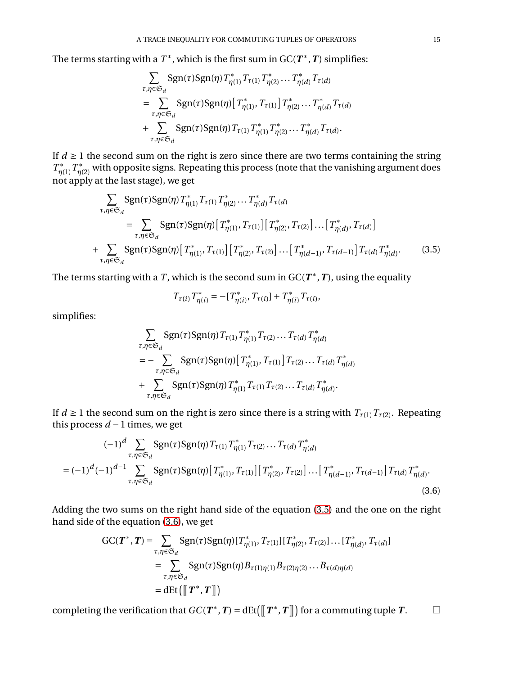The terms starting with a  $T^*$ , which is the first sum in  $GC(T^*, T)$  simplifies:

$$
\sum_{\tau,\eta\in\mathfrak{S}_d} \text{Sgn}(\tau) \text{Sgn}(\eta) T_{\eta(1)}^* T_{\tau(1)} T_{\eta(2)} \cdots T_{\eta(d)}^* T_{\tau(d)}
$$
\n
$$
= \sum_{\tau,\eta\in\mathfrak{S}_d} \text{Sgn}(\tau) \text{Sgn}(\eta) \left[ T_{\eta(1)}^*, T_{\tau(1)} \right] T_{\eta(2)}^* \cdots T_{\eta(d)}^* T_{\tau(d)}
$$
\n
$$
+ \sum_{\tau,\eta\in\mathfrak{S}_d} \text{Sgn}(\tau) \text{Sgn}(\eta) T_{\tau(1)} T_{\eta(1)}^* T_{\eta(2)}^* \cdots T_{\eta(d)}^* T_{\tau(d)}.
$$

If  $d \geq 1$  the second sum on the right is zero since there are two terms containing the string  $T^*_{\eta(1)}$   $T^*_{\eta(2)}$  with opposite signs. Repeating this process (note that the vanishing argument does not apply at the last stage), we get

$$
\sum_{\tau,\eta \in \mathfrak{S}_d} \text{Sgn}(\tau) \text{Sgn}(\eta) T_{\eta(1)}^* T_{\tau(1)} T_{\eta(2)}^* \dots T_{\eta(d)}^* T_{\tau(d)}
$$
\n
$$
= \sum_{\tau,\eta \in \mathfrak{S}_d} \text{Sgn}(\tau) \text{Sgn}(\eta) [T_{\eta(1)}^*, T_{\tau(1)}] [T_{\eta(2)}^*, T_{\tau(2)}] \dots [T_{\eta(d)}^*, T_{\tau(d)}]
$$
\n
$$
+ \sum_{\tau,\eta \in \mathfrak{S}_d} \text{Sgn}(\tau) \text{Sgn}(\eta) [T_{\eta(1)}^*, T_{\tau(1)}] [T_{\eta(2)}^*, T_{\tau(2)}] \dots [T_{\eta(d-1)}^*, T_{\tau(d-1)}] T_{\tau(d)} T_{\eta(d)}^*.
$$
\n(3.5)

The terms starting with a *T*, which is the second sum in  $GC(T^*, T)$ , using the equality

<span id="page-14-1"></span><span id="page-14-0"></span>
$$
T_{\tau(i)} T_{\eta(i)}^* = -[T_{\eta(i)}^*, T_{\tau(i)}] + T_{\eta(i)}^* T_{\tau(i)},
$$

simplifies:

$$
\sum_{\tau,\eta \in \mathfrak{S}_d} \text{Sgn}(\tau) \text{Sgn}(\eta) T_{\tau(1)} T_{\eta(1)}^* T_{\tau(2)} \dots T_{\tau(d)} T_{\eta(d)}^*
$$
\n
$$
= - \sum_{\tau,\eta \in \mathfrak{S}_d} \text{Sgn}(\tau) \text{Sgn}(\eta) [T_{\eta(1)}^*, T_{\tau(1)}] T_{\tau(2)} \dots T_{\tau(d)} T_{\eta(d)}^*
$$
\n
$$
+ \sum_{\tau,\eta \in \mathfrak{S}_d} \text{Sgn}(\tau) \text{Sgn}(\eta) T_{\eta(1)}^* T_{\tau(1)} T_{\tau(2)} \dots T_{\tau(d)} T_{\eta(d)}^*.
$$

If  $d \ge 1$  the second sum on the right is zero since there is a string with  $T_{\tau(1)}T_{\tau(2)}$ . Repeating this process  $d-1$  times, we get

$$
(-1)^{d} \sum_{\tau,\eta \in \mathfrak{S}_{d}} \text{Sgn}(\tau) \text{Sgn}(\eta) T_{\tau(1)} T_{\eta(1)}^* T_{\tau(2)} \dots T_{\tau(d)} T_{\eta(d)}^*
$$
  
= 
$$
(-1)^{d} (-1)^{d-1} \sum_{\tau,\eta \in \mathfrak{S}_{d}} \text{Sgn}(\tau) \text{Sgn}(\eta) [T_{\eta(1)}^*, T_{\tau(1)}] [T_{\eta(2)}^*, T_{\tau(2)}] \dots [T_{\eta(d-1)}^*, T_{\tau(d-1)}] T_{\tau(d)} T_{\eta(d)}^*.
$$
(3.6)

Adding the two sums on the right hand side of the equation [\(3.5\)](#page-14-0) and the one on the right hand side of the equation [\(3.6\)](#page-14-1), we get

$$
GC(T^*, T) = \sum_{\tau, \eta \in \mathfrak{S}_d} \text{Sgn}(\tau) \text{Sgn}(\eta) [T^*_{\eta(1)}, T_{\tau(1)}] [T^*_{\eta(2)}, T_{\tau(2)}] \dots [T^*_{\eta(d)}, T_{\tau(d)}]
$$
  
= 
$$
\sum_{\tau, \eta \in \mathfrak{S}_d} \text{Sgn}(\tau) \text{Sgn}(\eta) B_{\tau(1)\eta(1)} B_{\tau(2)\eta(2)} \dots B_{\tau(d)\eta(d)}
$$
  
= 
$$
dEt([T^*, T]])
$$

completing the verification that  $GC(T^*, T) = \det([\llbracket T^*, T \rrbracket])$  for a commuting tuple  $T$ .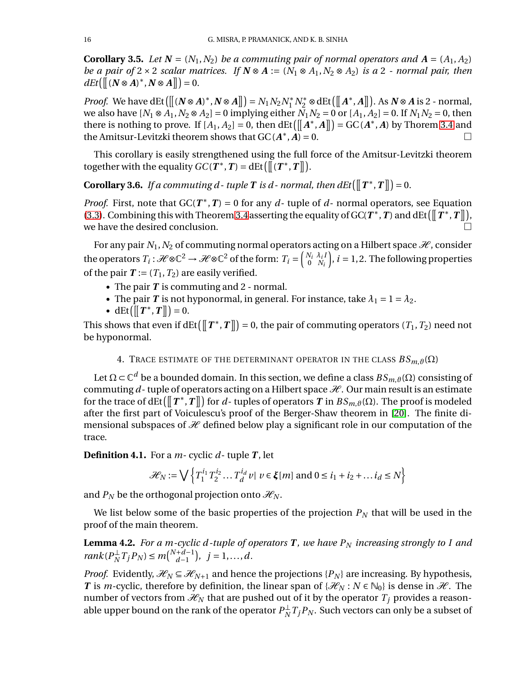**Corollary 3.5.** *Let*  $N = (N_1, N_2)$  *be a commuting pair of normal operators and*  $A = (A_1, A_2)$ *be a pair of*  $2 \times 2$  *scalar matrices. If*  $N \otimes A := (N_1 \otimes A_1, N_2 \otimes A_2)$  *is a* 2 *- normal pair, then*  $dEt([[(N \otimes A)^*, N \otimes A]]) = 0.$ 

*Proof.* We have  $\det([\mathbf{N} \otimes A)^*, \mathbf{N} \otimes A]] = N_1 N_2 N_1^* N_2^* \otimes \det([\mathbf{A}^*, A]])$ . As  $\mathbf{N} \otimes A$  is 2 - normal, we also have  $[N_1 \otimes A_1, N_2 \otimes A_2] = 0$  implying either  $N_1 N_2 = 0$  or  $[A_1, A_2] = 0$ . If  $N_1 N_2 = 0$ , then there is nothing to prove. If  $[A_1, A_2] = 0$ , then  $\det([A^*, A]]) = GC(A^*, A)$  by Thorem [3.4](#page-13-0) and the Amitsur-Levitzki theorem shows that  $GC(A^*, \overrightarrow{A}) = 0$ .

This corollary is easily strengthened using the full force of the Amitsur-Levitzki theorem together with the equality  $GC(T^*, T) = \det([\bar{r}^*, T])$ .

<span id="page-15-0"></span>**Corollary 3.6.** *If a commuting d - tuple*  $T$  *is d - normal, then*  $dEt([\![T^*, T]\!]) = 0$ *.* 

*Proof.* First, note that  $GC(T^*, T) = 0$  for any *d*-tuple of *d*-normal operators, see Equation [\(3.3\)](#page-13-1). Combining this with Theorem [3.4](#page-13-0) asserting the equality of GC( $T^*$ ,  $T$ ) and dEt( $T^*$ ,  $T \parallel$ ), we have the desired conclusion.

For any pair  $N_1$ ,  $N_2$  of commuting normal operators acting on a Hilbert space  $\mathcal{H}$ , consider the operators  $T_i: \mathcal{H} \otimes \mathbb{C}^2 \to \mathcal{H} \otimes \mathbb{C}^2$  of the form:  $T_i = \begin{pmatrix} N_i & \lambda_i I_i \\ 0 & N_i \end{pmatrix}$ 0 *N<sup>i</sup>*  $\hat{j}, i = 1, 2$ . The following properties of the pair  $T := (T_1, T_2)$  are easily verified.

- The pair **T** is commuting and 2 normal.
- The pair *T* is not hyponormal, in general. For instance, take  $\lambda_1 = 1 = \lambda_2$ .
- dEt $\left( \left[ \left[ T^*, T \right] \right] \right) = 0.$

This shows that even if  $\text{dEt}\left(\left[\!\left[T^*, T\right]\!\right]\!\right) = 0$ , the pair of commuting operators  $(T_1, T_2)$  need not be hyponormal.

4. TRACE ESTIMATE OF THE DETERMINANT OPERATOR IN THE CLASS  $BS_{m, \vartheta}(\Omega)$ 

Let Ω ⊂  $\mathbb{C}^d$  be a bounded domain. In this section, we define a class  $BS_{m,θ}(\Omega)$  consisting of commuting  $d$ - tuple of operators acting on a Hilbert space  $\mathcal{H}$ . Our main result is an estimate for the trace of  $\text{dEt}\left(\bm{\rbrack}\bm{T}^*,\bm{T}\bm{\rbrack}\right)$  for  $d$ - tuples of operators  $\bm{T}$  in  $BS_{m, \vartheta}(\Omega).$  The proof is modeled after the first part of Voiculescu's proof of the Berger-Shaw theorem in [\[20\]](#page-29-0). The finite dimensional subspaces of  $H$  defined below play a significant role in our computation of the trace.

**Definition 4.1.** For a *m*- cyclic *d*- tuple *T* , let

$$
\mathcal{H}_N := \bigvee \left\{ T_1^{i_1} T_2^{i_2} \dots T_d^{i_d} v \mid v \in \xi[m] \text{ and } 0 \le i_1 + i_2 + \dots + i_d \le N \right\}
$$

and  $P_N$  be the orthogonal projection onto  $\mathcal{H}_N$ .

We list below some of the basic properties of the projection  $P<sub>N</sub>$  that will be used in the proof of the main theorem.

**Lemma 4.2.** *For a m-cyclic d -tuple of operators T , we have P<sup>N</sup> increasing strongly to I and*  $rank(P_N^{\perp}T_jP_N) \leq m\binom{N+d-1}{d-1}$ *d*−1  $j = 1, ..., d.$ 

*Proof.* Evidently,  $\mathcal{H}_N \subseteq \mathcal{H}_{N+1}$  and hence the projections {*P<sub>N</sub>*} are increasing. By hypothesis, *T* is *m*-cyclic, therefore by definition, the linear span of { $\mathcal{H}_N$  :  $N \in \mathbb{N}_0$ } is dense in  $\mathcal{H}$ . The number of vectors from  $\mathcal{H}_N$  that are pushed out of it by the operator  $T_j$  provides a reasonable upper bound on the rank of the operator  $P_N^\perp T_jP_N.$  Such vectors can only be a subset of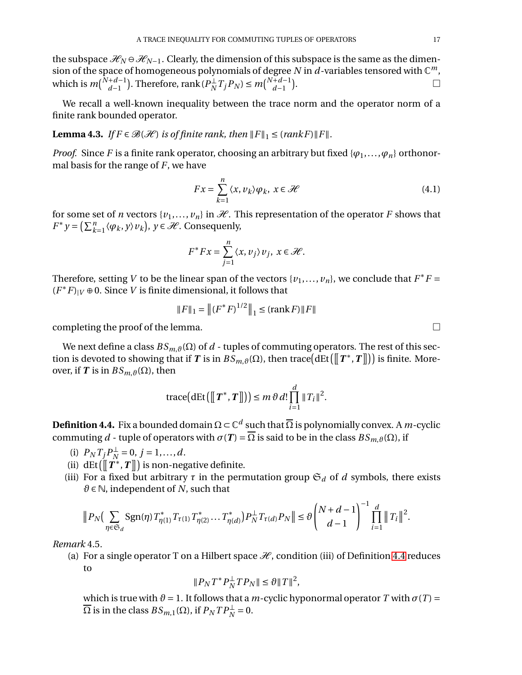the subspace  $\mathcal{H}_N \ominus \mathcal{H}_{N-1}$ . Clearly, the dimension of this subspace is the same as the dimension of the space of homogeneous polynomials of degree N in  $d$ -variables tensored with  $\mathbb{C}^m$ , which is  $m\binom{N+d-1}{d-1}$ *d*−1 ). Therefore,  $\text{rank}(P_N^{\perp}T_jP_N) \leq m\binom{N+d-1}{d-1}$ *d*−1  $\overline{ }$ .

We recall a well-known inequality between the trace norm and the operator norm of a finite rank bounded operator.

**Lemma 4.3.** *If*  $F \in \mathcal{B}(\mathcal{H})$  *is of finite rank, then*  $||F||_1 \leq (rankF)||F||$ *.* 

*Proof.* Since *F* is a finite rank operator, choosing an arbitrary but fixed { $\varphi_1$ ,..., $\varphi_n$ } orthonormal basis for the range of *F*, we have

$$
Fx = \sum_{k=1}^{n} \langle x, v_k \rangle \varphi_k, \ x \in \mathcal{H}
$$
 (4.1)

for some set of *n* vectors  $\{v_1, \ldots, v_n\}$  in  $\mathcal{H}$ . This representation of the operator *F* shows that  $F^* y = \left(\sum_k^n$  $\{w_{k=1}^n \langle \varphi_k, y \rangle v_k\}, y \in \mathcal{H}$ . Consequenly,

$$
F^*Fx = \sum_{j=1}^n \langle x, v_j \rangle v_j, \ x \in \mathcal{H}.
$$

Therefore, setting *V* to be the linear span of the vectors  $\{v_1, \ldots, v_n\}$ , we conclude that  $F^*F =$  $(F^*F)$ <sub>*|V*</sub> ⊕ 0. Since *V* is finite dimensional, it follows that

$$
||F||_1 = ||(F^*F)^{1/2}||_1 \leq (\text{rank}\, F) ||F||
$$

completing the proof of the lemma.  $\Box$ 

We next define a class  $BS_{m,\vartheta}(\Omega)$  of *d* - tuples of commuting operators. The rest of this section is devoted to showing that if  $T$  is in  $\hat{BS}_{m, \vartheta}(\Omega)$ , then trace $\big(\mathrm{dEt}\big(\big[\!\! \big[\,T^*, T\big]\!\!\big]\big)\big)$  is finite. Moreover, if *T* is in  $BS_{m,θ}(\Omega)$ , then

$$
\operatorname{trace}\bigl(\operatorname{dEt}\bigl([\![T^*,T]\!])\bigr)\leq m\,\vartheta\,d!\prod_{i=1}^d\|T_i\|^2.
$$

<span id="page-16-0"></span>**Definition 4.4.** Fix a bounded domain  $\Omega \subset \mathbb{C}^d$  such that  $\overline{\Omega}$  is polynomially convex. A *m*-cyclic commuting *d* - tuple of operators with  $\sigma(T) = \Omega$  is said to be in the class  $BS_{m, \vartheta}(\Omega)$ , if

- (i)  $P_N T_j P_N^{\perp} = 0, j = 1, ..., d.$
- (ii) dEt  $(\llbracket T^*, T \rrbracket)$  is non-negative definite.
- (iii) For a fixed but arbitrary  $\tau$  in the permutation group  $\mathfrak{S}_d$  of *d* symbols, there exists  $\theta \in \mathbb{N}$ , independent of *N*, such that

$$
\big\| P_N \big( \sum_{\eta \in \mathfrak S_d} \operatorname{Sgn}(\eta) \, T_{\eta(1)}^* \, T_{\tau(1)} \, T_{\eta(2)}^* \ldots \, T_{\eta(d)}^* \big) P_N^\perp \, T_{\tau(d)} P_N \big\| \leq \vartheta \binom{N+d-1}{d-1}^{-1} \prod_{i=1}^d \big\| \, T_i \big\|^2.
$$

*Remark* 4.5*.*

(a) For a single operator T on a Hilbert space  $\mathcal{H}$ , condition (iii) of Definition [4.4](#page-16-0) reduces to

$$
||P_N T^* P_N^{\perp} T P_N|| \leq \partial ||T||^2,
$$

which is true with  $\vartheta = 1$ . It follows that a *m*-cyclic hyponormal operator *T* with  $\sigma(T) =$  $\overline{\Omega}$  is in the class  $BS_{m,1}(\Omega)$ , if  $P_NTP_N^{\perp}=0$ .

$$
\Box
$$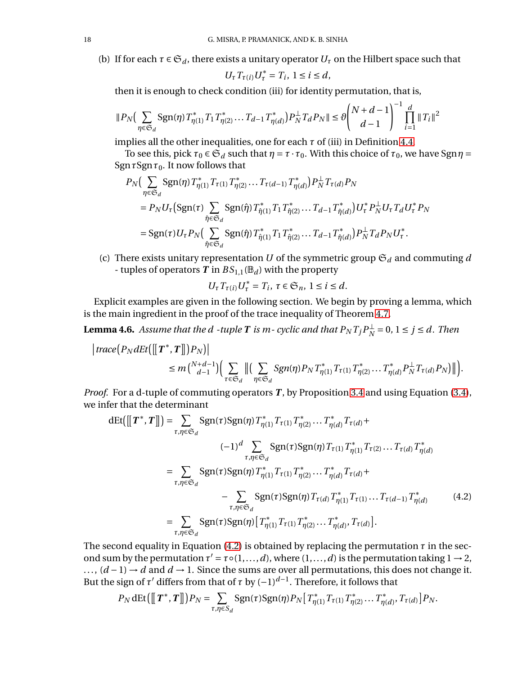(b) If for each  $\tau \in \mathfrak{S}_d$ , there exists a unitary operator  $U_\tau$  on the Hilbert space such that

$$
U_{\tau}T_{\tau(i)}U_{\tau}^*=T_i, 1\leq i\leq d,
$$

then it is enough to check condition (iii) for identity permutation, that is,

$$
||P_N\Big(\sum_{\eta \in \mathfrak{S}_d} \text{Sgn}(\eta) T^*_{\eta(1)} T_1 T^*_{\eta(2)} \cdots T_{d-1} T^*_{\eta(d)}\Big) P_N^{\perp} T_d P_N || \leq \vartheta \Bigg[\frac{N+d-1}{d-1}\Bigg]^{-1} \prod_{i=1}^d ||T_i||^2
$$

implies all the other inequalities, one for each  $\tau$  of (iii) in Definition [4.4.](#page-16-0)

To see this, pick  $\tau_0 \in \mathfrak{S}_d$  such that  $\eta = \tau \cdot \tau_0$ . With this choice of  $\tau_0$ , we have Sgn $\eta =$  $\text{Sgn } \tau \text{Sgn } \tau_0$ . It now follows that

$$
P_N\Big(\sum_{\eta \in \mathfrak{S}_d} \text{Sgn}(\eta) T_{\eta(1)}^* T_{\tau(1)} T_{\eta(2)}^* \dots T_{\tau(d-1)} T_{\eta(d)}^* \Big) P_N^{\perp} T_{\tau(d)} P_N
$$
  
\n
$$
= P_N U_\tau \Big(\text{Sgn}(\tau) \sum_{\hat{\eta} \in \mathfrak{S}_d} \text{Sgn}(\hat{\eta}) T_{\hat{\eta}(1)}^* T_1 T_{\hat{\eta}(2)}^* \dots T_{d-1} T_{\hat{\eta}(d)}^* \Big) U_\tau^* P_N^{\perp} U_\tau T_d U_\tau^* P_N
$$
  
\n
$$
= \text{Sgn}(\tau) U_\tau P_N \Big(\sum_{\hat{\eta} \in \mathfrak{S}_d} \text{Sgn}(\hat{\eta}) T_{\hat{\eta}(1)}^* T_1 T_{\hat{\eta}(2)}^* \dots T_{d-1} T_{\hat{\eta}(d)}^* \Big) P_N^{\perp} T_d P_N U_\tau^*.
$$

(c) There exists unitary representation *U* of the symmetric group  $\mathfrak{S}_d$  and commuting *d* - tuples of operators  $T$  in  $BS_{1,1}(\mathbb{B}_d)$  with the property

<span id="page-17-0"></span>
$$
U_{\tau}T_{\tau(i)}U_{\tau}^*=T_i, \ \tau\in\mathfrak{S}_n, \ 1\leq i\leq d.
$$

Explicit examples are given in the following section. We begin by proving a lemma, which is the main ingredient in the proof of the trace inequality of Theorem [4.7.](#page-19-0)

<span id="page-17-1"></span>**Lemma 4.6.** Assume that the  $d$  -tuple  $T$  is  $m$ - cyclic and that  $P_N T_j P_N^\perp = 0$ ,  $1 \le j \le d$ . Then

$$
\begin{aligned}\n\big|\operatorname{trace}\big(P_{N}\operatorname{dEt}\big(\big[\!\!\big[\!\!\big[\,T^*,T\big]\!\!\big]\big)\big)P_{N}\big)\big|\big\\
&\leq m\binom{N+d-1}{d-1}\bigg(\sum_{\tau\in\mathfrak{S}_{d}}\big\|\big(\sum_{\eta\in\mathfrak{S}_{d}}\operatorname{Sgn}(\eta)P_{N}T_{\eta(1)}^*T_{\tau(1)}T_{\eta(2)}^*\dots T_{\eta(d)}^*P_{N}^{\perp}T_{\tau(d)}P_{N}\big)\big\|\bigg).\n\end{aligned}
$$

*Proof.* For a d-tuple of commuting operators *T*, by Proposition [3.4](#page-13-0) and using Equation [\(3.4\)](#page-13-2), we infer that the determinant

$$
dEt([[T^*, T]]) = \sum_{\tau, \eta \in \mathfrak{S}_d} \text{Sgn}(\tau) \text{Sgn}(\eta) T_{\eta(1)}^* T_{\tau(1)} T_{\eta(2)}^* \dots T_{\eta(d)}^* T_{\tau(d)} + (-1)^d \sum_{\tau, \eta \in \mathfrak{S}_d} \text{Sgn}(\tau) \text{Sgn}(\eta) T_{\tau(1)} T_{\eta(1)}^* T_{\tau(2)} \dots T_{\tau(d)} T_{\eta(d)}^*
$$
  
\n
$$
= \sum_{\tau, \eta \in \mathfrak{S}_d} \text{Sgn}(\tau) \text{Sgn}(\eta) T_{\eta(1)}^* T_{\tau(1)} T_{\eta(2)}^* \dots T_{\eta(d)}^* T_{\tau(d)} + (-1)^{\sum_{\tau, \eta \in \mathfrak{S}_d} \text{Sgn}(\tau) \text{Sgn}(\eta) T_{\tau(d)} T_{\eta(1)}^* T_{\tau(1)} \dots T_{\tau(d-1)} T_{\eta(d)}^*}
$$
(4.2)  
\n
$$
= \sum_{\tau, \eta \in \mathfrak{S}_d} \text{Sgn}(\tau) \text{Sgn}(\eta) [T_{\eta(1)}^* T_{\tau(1)} T_{\eta(2)}^* \dots T_{\eta(d)}^*, T_{\tau(d)}].
$$

The second equality in Equation [\(4.2\)](#page-17-0) is obtained by replacing the permutation *τ* in the second sum by the permutation  $\tau' = \tau \circ (1, ..., d)$ , where  $(1, ..., d)$  is the permutation taking  $1 \rightarrow 2$ , ...,  $(d-1) \rightarrow d$  and  $d \rightarrow 1$ . Since the sums are over all permutations, this does not change it. But the sign of  $\tau'$  differs from that of  $\tau$  by  $(-1)^{d-1}$ . Therefore, it follows that

$$
P_N \det([\![T^*, T]\!]) P_N = \sum_{\tau, \eta \in S_d} \text{Sgn}(\tau) \text{Sgn}(\eta) P_N [\![T^*_{\eta(1)} T_{\tau(1)} T^*_{\eta(2)} \dots T^*_{\eta(d)}, T_{\tau(d)}] P_N.
$$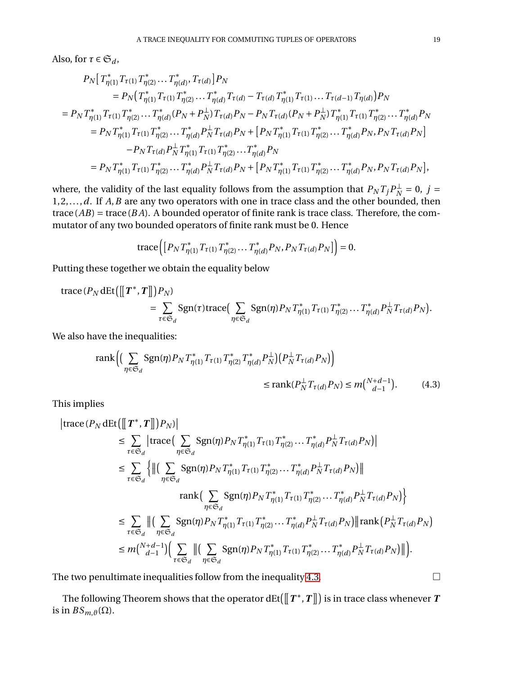Also, for  $\tau \in \mathfrak{S}_d$ ,

$$
P_N\big[\,T_{\eta(1)}^*T_{\tau(1)}T_{\eta(2)}^* \ldots T_{\eta(d)}^*, T_{\tau(d)}\big]P_N\big]
$$
\n
$$
= P_N\big(T_{\eta(1)}^*T_{\tau(1)}T_{\eta(2)}^* \ldots T_{\eta(d)}^*T_{\tau(d)} - T_{\tau(d)}T_{\eta(1)}^*T_{\tau(1)} \ldots T_{\tau(d-1)}T_{\eta(d)}\big)P_N
$$
\n
$$
= P_N\,T_{\eta(1)}^*T_{\tau(1)}T_{\eta(2)}^* \ldots T_{\eta(d)}^*(P_N + P_N^{\perp})T_{\tau(d)}P_N - P_N\,T_{\tau(d)}(P_N + P_N^{\perp})T_{\eta(1)}^*T_{\tau(1)}T_{\eta(2)}^* \ldots T_{\eta(d)}^*P_N
$$
\n
$$
= P_N\,T_{\eta(1)}^*T_{\tau(1)}T_{\eta(2)}^* \ldots T_{\eta(d)}^*P_N^{\perp}T_{\tau(d)}P_N + \big[P_N\,T_{\eta(1)}^*T_{\tau(1)}T_{\eta(2)}^* \ldots T_{\eta(d)}^*P_N, P_N\,T_{\tau(d)}P_N\big] - P_N\,T_{\tau(d)}P_N^{\perp}T_{\eta(1)}^*T_{\tau(1)}T_{\eta(2)}^* \ldots T_{\eta(d)}^*P_N
$$
\n
$$
= P_N\,T_{\eta(1)}^*T_{\tau(1)}T_{\eta(2)}^* \ldots T_{\eta(d)}^*P_N^{\perp}T_{\tau(d)}P_N + \big[P_N\,T_{\eta(1)}^*T_{\tau(1)}T_{\eta(2)}^* \ldots T_{\eta(d)}^*P_N, P_N\,T_{\tau(d)}P_N\big],
$$

where, the validity of the last equality follows from the assumption that  $P_N T_j P_N^{\perp} = 0$ ,  $j =$ 1,2,...,*d*. If *A*,*B* are any two operators with one in trace class and the other bounded, then  $trace(AB) = trace(BA)$ . A bounded operator of finite rank is trace class. Therefore, the commutator of any two bounded operators of finite rank must be 0. Hence

<span id="page-18-0"></span>trace
$$
([P_N T_{\eta(1)}^* T_{\tau(1)} T_{\eta(2)}^* \dots T_{\eta(d)}^* P_N, P_N T_{\tau(d)} P_N]
$$
 $) = 0.$ 

Putting these together we obtain the equality below

$$
\begin{split} \text{trace}\, (P_N \, \text{dEt}\, \big( \big[ \big[ \boldsymbol{T}^*, \boldsymbol{T} \big] \big] \big) P_N) \\ &\quad = \sum_{\tau \in \mathfrak{S}_d} \text{Sgn}(\tau) \text{trace} \big( \sum_{\eta \in \mathfrak{S}_d} \text{Sgn}(\eta) P_N \, T_{\eta(1)}^* T_{\tau(1)} T_{\eta(2)}^* \dots T_{\eta(d)}^* P_N^{\perp} T_{\tau(d)} P_N \big). \end{split}
$$

We also have the inequalities:

$$
rank \Big( \Big( \sum_{\eta \in \mathfrak{S}_d} \text{Sgn}(\eta) P_N T^*_{\eta(1)} T_{\tau(1)} T^*_{\eta(2)} T^*_{\eta(d)} P_N^{\perp} \Big) \Big( P_N^{\perp} T_{\tau(d)} P_N \Big) \Big) \leq rank(P_N^{\perp} T_{\tau(d)} P_N) \leq m \binom{N+d-1}{d-1}.
$$
 (4.3)

This implies

$$
\begin{split} \big|\text{trace}\left(P_{N}\det\left(\left[\!\left[\boldsymbol{T}^{*},\boldsymbol{T}\right]\!\right]\!\right)P_{N}\right)\big| \\ & \leq \sum_{\tau\in\mathfrak{S}_{d}}\big|\text{trace}\left(\sum_{\eta\in\mathfrak{S}_{d}}\text{Sgn}(\eta)P_{N}T_{\eta(1)}^{*}T_{\tau(1)}T_{\eta(2)}^{*}\ldots T_{\eta(d)}^{*}P_{N}^{\perp}T_{\tau(d)}P_{N}\right)\big| \\ & \leq \sum_{\tau\in\mathfrak{S}_{d}}\bigg\{\big\|\big(\sum_{\eta\in\mathfrak{S}_{d}}\text{Sgn}(\eta)P_{N}T_{\eta(1)}^{*}T_{\tau(1)}T_{\eta(2)}^{*}\ldots T_{\eta(d)}^{*}P_{N}^{\perp}T_{\tau(d)}P_{N}\big)\big\| \\ & \qquad\qquad\text{rank}\Big(\sum_{\eta\in\mathfrak{S}_{d}}\text{Sgn}(\eta)P_{N}T_{\eta(1)}^{*}T_{\tau(1)}T_{\eta(2)}^{*}\ldots T_{\eta(d)}^{*}P_{N}^{\perp}T_{\tau(d)}P_{N}\big)\bigg\} \\ & \leq \sum_{\tau\in\mathfrak{S}_{d}}\big\|\big(\sum_{\eta\in\mathfrak{S}_{d}}\text{Sgn}(\eta)P_{N}T_{\eta(1)}^{*}T_{\tau(1)}T_{\eta(2)}^{*}\ldots T_{\eta(d)}^{*}P_{N}^{\perp}T_{\tau(d)}P_{N}\big)\big\|\text{rank}\big(P_{N}^{\perp}T_{\tau(d)}P_{N}\big) \\ & \leq m\binom{N+d-1}{d-1}\bigg(\sum_{\tau\in\mathfrak{S}_{d}}\big\|\big(\sum_{\eta\in\mathfrak{S}_{d}}\text{Sgn}(\eta)P_{N}T_{\eta(1)}^{*}T_{\tau(1)}T_{\eta(2)}^{*}\ldots T_{\eta(d)}^{*}P_{N}^{\perp}T_{\tau(d)}P_{N}\big)\big\|\bigg).
$$

The two penultimate inequalities follow from the inequality [4.3.](#page-18-0)  $\Box$ 

The following Theorem shows that the operator dEt( $\lbrack\lbrack T^{\ast},T\rbrack\rbrack$  is in trace class whenever  $T$ is in  $BS_{m,\vartheta}(\Omega)$ .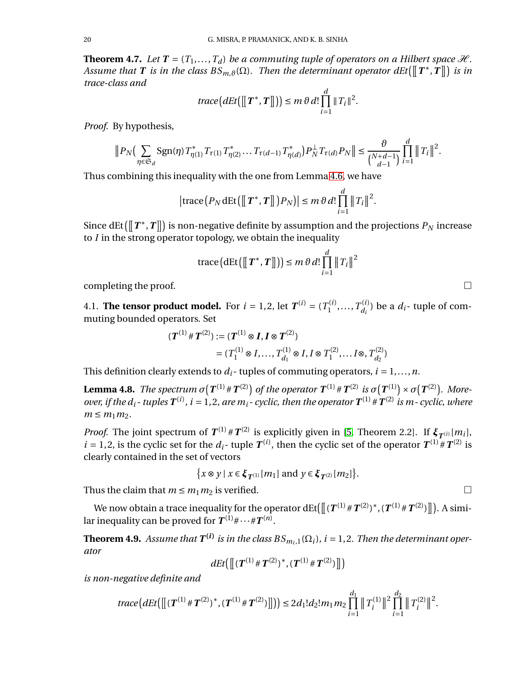<span id="page-19-0"></span>**Theorem 4.7.** *Let*  $T = (T_1, ..., T_d)$  *be a commuting tuple of operators on a Hilbert space*  $\mathcal{H}$ *. Assume that*  $T$  *is in the class*  $BS_{m,\vartheta}(\Omega)$ . Then the determinant operator  $dEt([\![T^*,T]\!])$  is in *trace-class and*

$$
trace\big(dEt\big([\![T^*,T]\!])\big) \leq m \,\vartheta \,d! \prod_{i=1}^d \|T_i\|^2.
$$

*Proof.* By hypothesis,

$$
||P_N(\sum_{\eta \in \mathfrak{S}_d} \text{Sgn}(\eta) T_{\eta(1)}^* T_{\tau(1)} T_{\eta(2)} \dots T_{\tau(d-1)} T_{\eta(d)}^*) P_N^{\perp} T_{\tau(d)} P_N || \leq \frac{\vartheta}{\binom{N+d-1}{d-1}} \prod_{i=1}^d ||T_i||^2.
$$

Thus combining this inequality with the one from Lemma [4.6,](#page-17-1) we have

$$
\left|\operatorname{trace}\left(P_N\operatorname{dEt}\left(\left[\!\left[\,T^*,T\right]\!\right]\right)P_N\right)\right|\leq m\,\vartheta\,d!\prod_{i=1}^d\left\|\,T_i\right\|^2.
$$

Since  $\text{dEt}\left(\bm{\rbrack}\bm{\rbrack}\bm{\mathit{T}}^*,\bm{\mathit{T}}\bm{\rbrack}\right)$  is non-negative definite by assumption and the projections  $P_N$  increase to *I* in the strong operator topology, we obtain the inequality

trace
$$
(\det([\llbracket T^*, T \rrbracket])) \leq m \vartheta d! \prod_{i=1}^d ||T_i||^2
$$

completing the proof.  $\Box$ 

4.1. **The tensor product model.** For  $i = 1, 2$ , let  $T^{(i)} = (T_1^{(i)})$  $T^{(i)}_{1}, \ldots, T^{(i)}_{d_i}$  $d_i^{(i)}$  be a  $d_i$ - tuple of commuting bounded operators. Set

$$
\begin{aligned} (\boldsymbol{T}^{(1)} \# \boldsymbol{T}^{(2)}) &:= (\boldsymbol{T}^{(1)} \otimes \boldsymbol{I}, \boldsymbol{I} \otimes \boldsymbol{T}^{(2)}) \\ &= (T_1^{(1)} \otimes \boldsymbol{I}, \dots, T_{d_1}^{(1)} \otimes \boldsymbol{I}, \boldsymbol{I} \otimes T_1^{(2)}, \dots \boldsymbol{I} \otimes, T_{d_2}^{(2)}) \end{aligned}
$$

This definition clearly extends to  $d_i$ - tuples of commuting operators,  $i = 1, \ldots, n$ .

**Lemma 4.8.** *The spectrum*  $\sigma(T^{(1)} \# T^{(2)})$  *of the operator*  $T^{(1)} \# T^{(2)}$  *is*  $\sigma(T^{(1)}) \times \sigma(T^{(2)})$ *. Moreover, if the*  $d_i$ *-tuples*  $T^{(i)}$ ,  $i = 1, 2$ , are  $m_i$ -cyclic, then the operator  $T^{(1)}$  #  $T^{(2)}$  is  $m$ -cyclic, where  $m \leq m_1 m_2$ .

*Proof.* The joint spectrum of  $T^{(1)}$  #  $T^{(2)}$  is explicitly given in [\[5,](#page-28-16) Theorem 2.2]. If  $\xi_{T^{(i)}}[m_i]$ ,  $i = 1, 2$ , is the cyclic set for the  $d_i$ - tuple  $T^{(i)}$ , then the cyclic set of the operator  $T^{(1)} \# T^{(2)}$  is clearly contained in the set of vectors

$$
\big\{x\otimes y\mid x\in \pmb\xi_{\pmb{T}^{(1)}}[m_1] \text{ and } y\in \pmb\xi_{\pmb{T}^{(2)}}[m_2]\big\}.
$$

Thus the claim that  $m \le m_1 m_2$  is verified.

We now obtain a trace inequality for the operator dEt(  $\lbrack\! \lbrack (T^{(1)}\# T^{(2)})^*, (T^{(1)}\# T^{(2)}) \rbrack\! \rbrack$  ). A similar inequality can be proved for  $T^{(1)} \# \cdots \# T^{(n)}$ .

<span id="page-19-1"></span>**Theorem 4.9.** Assume that  $T^{(i)}$  is in the class  $BS_{m_i,1}(\Omega_i)$ , i = 1,2. Then the determinant oper*ator*

$$
dEt\big(\big[\!\!\big[({\boldsymbol T}^{(1)}\,\# \,{\boldsymbol T}^{(2)})^*,({\boldsymbol T}^{(1)}\,\# \,{\boldsymbol T}^{(2)})\big]\!\!\big]\big)\big)
$$

*is non-negative definite and*

$$
trace\big(dEt\big(\big[ \big[(\boldsymbol{T}^{(1)}\#\boldsymbol{T}^{(2)})^*,(\boldsymbol{T}^{(1)}\#\boldsymbol{T}^{(2)})\big]\big]\big)\big) \leq 2d_1!d_2!m_1m_2\prod_{i=1}^{d_1} \big\|T_i^{(1)}\big\|^2\prod_{i=1}^{d_2} \big\|T_i^{(2)}\big\|^2.
$$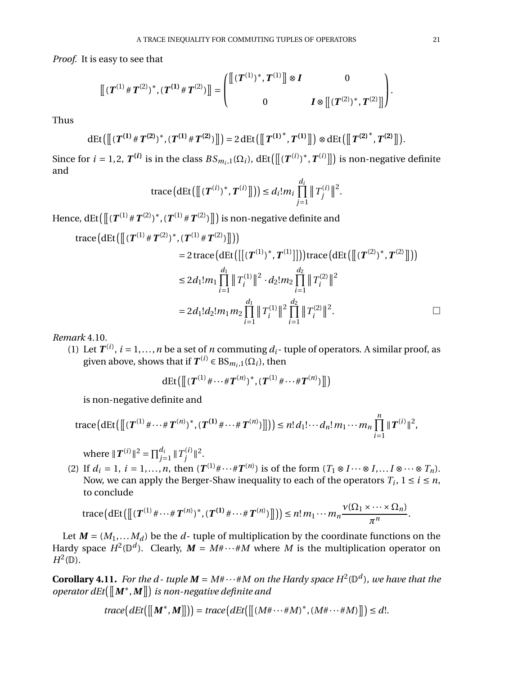*Proof.* It is easy to see that

££(*T* (1) #*T* (2)) ∗ , (*T* **(1)** #*T* (2)) ¤¤ = ££(*T* (1)) ∗ ,*T* (1)¤¤<sup>⊗</sup> *<sup>I</sup>* <sup>0</sup> <sup>0</sup> *<sup>I</sup>* <sup>⊗</sup> ££(*T* (2)) ∗ ,*T* (2)¤¤ .

Thus

$$
\mathrm{dEt}\big(\big[\!\!\big[ \boldsymbol{T}^{(1)}\,\#\, \boldsymbol{T}^{(2)} \boldsymbol{)}^*, \boldsymbol{T}^{(1)}\,\#\, \boldsymbol{T}^{(2)}\boldsymbol{)} \big]\!\!\big]\big) = 2\,\mathrm{dEt}\big(\big[\!\!\big[ \boldsymbol{T}^{(1)^*}, \boldsymbol{T}^{(1)} \big]\!\!\big]\big) \otimes \mathrm{dEt}\big(\big[\!\!\big[ \boldsymbol{T}^{(2)^*}, \boldsymbol{T}^{(2)} \big]\!\!\big]\big).
$$

Since for  $i = 1, 2$ ,  $T^{(i)}$  is in the class  $BS_{m_i,1}(\Omega_i)$ ,  $\text{dEt}\left(\left[\left[(T^{(i)})^*, T^{(i)}\right]\right]\right)$  is non-negative definite and

trace
$$
(dEt([[ (T^{(i)})^*, T^{(i)}]]) \leq d_i! m_i \prod_{j=1}^{d_i} ||T_j^{(i)}||^2
$$
.

Hence, dEt  $(\llbracket (\bm{T}^{(1)} \, \# \, \bm{T}^{(2)})^*$  , ( $\bm{T}^{(1)} \, \# \, \bm{T}^{(2)})$   $\rrbracket)$  is non-negative definite and

trace
$$
(dEt([[ (T^{(1)}#T^{(2)})^*, (T^{(1)}#T^{(2)})]])
$$
  
= 2 trace $(dEt([[ (T^{(1)})^*, T^{(1)}]])$ trace $(dEt([[ (T^{(2)})^*, T^{(2)}]])$ )  
≤ 2d<sub>1</sub>!m<sub>1</sub>  $\prod_{i=1}^{d_1} ||T_i^{(1)}||^2 \cdot d_2!m_2 \prod_{i=1}^{d_2} ||T_i^{(2)}||^2$   
= 2d<sub>1</sub>!d<sub>2</sub>!m<sub>1</sub>m<sub>2</sub>  $\prod_{i=1}^{d_1} ||T_i^{(1)}||^2 \prod_{i=1}^{d_2} ||T_i^{(2)}||^2$ .

*Remark* 4.10*.*

(1) Let  $T^{(i)}$ ,  $i = 1,...,n$  be a set of *n* commuting  $d_i$ - tuple of operators. A similar proof, as given above, shows that if  $T^{(i)} \in BS_{m_i,1}(\Omega_i)$ , then

$$
\mathrm{dEt}\big(\big[\!\!\big[({\bm{T}}^{(1)}\# \cdots \# {\bm{T}}^{(n)})^*, ({\bm{T}}^{(1)}\# \cdots \# {\bm{T}}^{(n)})\big]\!\!\big]\big)
$$

is non-negative definite and

trace
$$
(dEt[[(T^{(1)}\# \cdots \# T^{(n)})^*, (T^{(1)}\# \cdots \# T^{(n)})]])
$$
 $\leq n! d_1! \cdots d_n! m_1 \cdots m_n \prod_{i=1}^n ||T^{(i)}||^2$ ,

where  $\|\bm{T}^{(i)}\|^2 = \prod_{j=1}^{d_i}$  $\int_{j=1}^{d_i} \|T_j^{(i)}\|$  $\int_{j}^{(i)} \|^{2}.$ 

(2) If  $d_i = 1, i = 1,...,n$ , then  $(T^{(1)} + \cdots + T^{(n)})$  is of the form  $(T_1 \otimes I \cdots \otimes I,... I \otimes \cdots \otimes T_n)$ . Now, we can apply the Berger-Shaw inequality to each of the operators  $T_i$ ,  $1 \le i \le n$ , to conclude

trace
$$
(dEt([[T^{(1)}\# \cdots \# T^{(n)})^*, (T^{(1)}\# \cdots \# T^{(n)})]])
$$
 $\leq n! m_1 \cdots m_n \frac{\nu(\Omega_1 \times \cdots \times \Omega_n)}{\pi^n}.$ 

Let  $M = (M_1, \ldots, M_d)$  be the  $d$ -tuple of multiplication by the coordinate functions on the Hardy space  $H^2(\mathbb{D}^d)$ . Clearly,  $M = M \# \cdots \# M$  where M is the multiplication operator on  $H^2(\mathbb{D}).$ 

<span id="page-20-0"></span>**Corollary 4.11.** *For the d-tuple*  $M = M# \cdots *M$  *on the Hardy space*  $H^2(\mathbb{D}^d)$ *, we have that the*  $\vec{a}$  *operator dEt*( $\llbracket \bm{M}^*, \bm{M} \rrbracket$ ) is non-negative definite and

$$
trace(dEt([[M^*,M]])=trace(dEt([[ (M\# \cdots \# M)^*, (M\# \cdots \# M)]]) \leq d!.
$$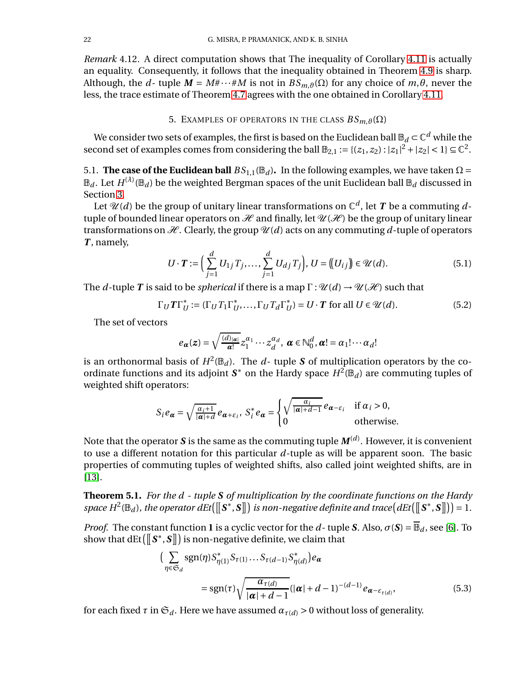*Remark* 4.12*.* A direct computation shows that The inequality of Corollary [4.11](#page-20-0) is actually an equality. Consequently, it follows that the inequality obtained in Theorem [4.9](#page-19-1) is sharp. Although, the *d*- tuple  $M = M \# \cdots \# M$  is not in  $BS_{m,\vartheta}(\Omega)$  for any choice of  $m,\theta$ , never the less, the trace estimate of Theorem [4.7](#page-19-0) agrees with the one obtained in Corollary [4.11.](#page-20-0)

# 5. EXAMPLES OF OPERATORS IN THE CLASS  $BS_{m, \vartheta}(\Omega)$

We consider two sets of examples, the first is based on the Euclidean ball  $\mathbb{B}_d \subset \mathbb{C}^d$  while the second set of examples comes from considering the ball  $\mathbb{B}_{2,1} := \{(z_1, z_2) : |z_1|^2 + |z_2| < 1\} \subseteq \mathbb{C}^2$ .

5.1. **The case of the Euclidean ball**  $BS_{1,1}(\mathbb{B}_d)$ . In the following examples, we have taken  $\Omega$  =  $\mathbb{B}_d.$  Let  $H^{(\lambda)}(\mathbb{B}_d)$  be the weighted Bergman spaces of the unit Euclidean ball  $\mathbb{B}_d$  discussed in Section [3.](#page-10-0)

Let  $\mathscr{U}(d)$  be the group of unitary linear transformations on  $\mathbb{C}^d$ , let  $\bm{T}$  be a commuting  $d$ tuple of bounded linear operators on  $\mathcal H$  and finally, let  $\mathcal U(\mathcal H)$  be the group of unitary linear transformations on  $\mathcal H$ . Clearly, the group  $\mathcal U(d)$  acts on any commuting d-tuple of operators *T* , namely,

$$
U \cdot T := \Big( \sum_{j=1}^{d} U_{1j} T_j, \dots, \sum_{j=1}^{d} U_{dj} T_j \Big), \ U = \big( \big( U_{ij} \big) \big) \in \mathcal{U}(d). \tag{5.1}
$$

The *d*-tuple *T* is said to be *spherical* if there is a map  $\Gamma : \mathcal{U}(d) \to \mathcal{U}(\mathcal{H})$  such that

$$
\Gamma_U T \Gamma_U^* := (\Gamma_U T_1 \Gamma_U^*, \dots, \Gamma_U T_d \Gamma_U^*) = U \cdot T \text{ for all } U \in \mathcal{U}(d). \tag{5.2}
$$

The set of vectors

$$
e_{\boldsymbol{\alpha}}(z) = \sqrt{\frac{(d)_{|\boldsymbol{\alpha}|}}{\boldsymbol{\alpha}!}} z_1^{\alpha_1} \cdots z_d^{\alpha_d}, \, \boldsymbol{\alpha} \in \mathbb{N}_0^d, \boldsymbol{\alpha}! = \alpha_1! \cdots \alpha_d!
$$

is an orthonormal basis of  $H^2(\mathbb{B}_d)$ . The  $d$ - tuple  $\boldsymbol{S}$  of multiplication operators by the coordinate functions and its adjoint  $S^*$  on the Hardy space  $H^2(\mathbb{B}_d)$  are commuting tuples of weighted shift operators:

$$
S_i e_{\pmb{\alpha}} = \sqrt{\frac{\alpha_i + 1}{|\pmb{\alpha}| + d}} e_{\pmb{\alpha} + \varepsilon_i}, \ S_i^* e_{\pmb{\alpha}} = \begin{cases} \sqrt{\frac{\alpha_i}{|\pmb{\alpha}| + d - 1}} e_{\pmb{\alpha} - \varepsilon_i} & \text{if } \alpha_i > 0, \\ 0 & \text{otherwise.} \end{cases}
$$

Note that the operator  $\boldsymbol{S}$  is the same as the commuting tuple  $\boldsymbol{M}^{(d)}$ . However, it is convenient to use a different notation for this particular *d*-tuple as will be apparent soon. The basic properties of commuting tuples of weighted shifts, also called joint weighted shifts, are in [\[13\]](#page-28-17).

<span id="page-21-1"></span>**Theorem 5.1.** *For the d - tuple S of multiplication by the coordinate functions on the Hardy*  $space H^2(\mathbb{B}_d)$ , the operator  $dEt([\llbracket \mathbf{S}^*, \mathbf{S} \rrbracket)$  is non-negative definite and trace $(dEt([\llbracket \mathbf{S}^*, \mathbf{S} \rrbracket)) = 1$ .

*Proof.* The constant function **1** is a cyclic vector for the *d*-tuple *S*. Also,  $\sigma(S) = \overline{\mathbb{B}}_d$ , see [\[6\]](#page-28-11). To show that  $\text{dEt}\left(\left\|\bm{S}^*,\bm{S}\right\|\right)$  is non-negative definite, we claim that

<span id="page-21-0"></span>
$$
\left(\sum_{\eta \in \mathfrak{S}_d} \operatorname{sgn}(\eta) S_{\eta(1)}^* S_{\tau(1)} \dots S_{\tau(d-1)} S_{\eta(d)}^*\right) e_{\alpha}
$$
\n
$$
= \operatorname{sgn}(\tau) \sqrt{\frac{\alpha_{\tau(d)}}{|\alpha| + d - 1}} (|\alpha| + d - 1)^{-(d-1)} e_{\alpha - \varepsilon_{\tau(d)}},
$$
\n(5.3)

for each fixed  $\tau$  in  $\mathfrak{S}_d$ . Here we have assumed  $\alpha_{\tau(d)} > 0$  without loss of generality.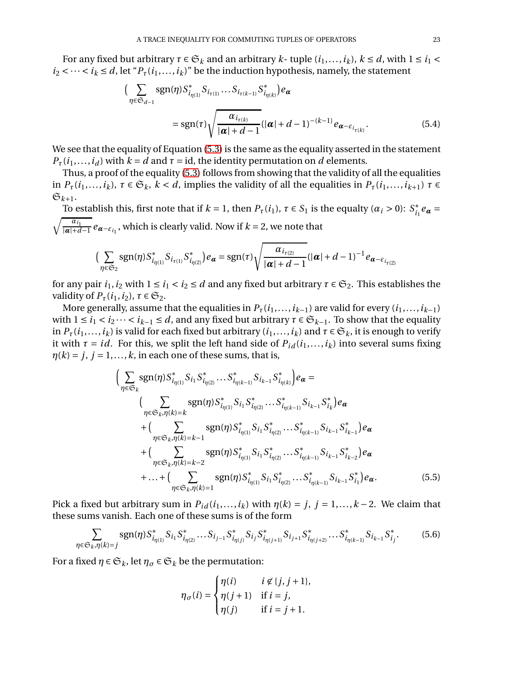For any fixed but arbitrary  $\tau \in \mathfrak{S}_k$  and an arbitrary  $k$ - tuple  $(i_1,...,i_k)$ ,  $k \le d$ , with  $1 \le i_1 <$  $i_2 < \cdots < i_k \le d$ , let " $P_\tau(i_1,\ldots,i_k)$ " be the induction hypothesis, namely, the statement

$$
\left(\sum_{\eta \in \mathfrak{S}_{d-1}} \text{sgn}(\eta) S_{i_{\eta(1)}}^* S_{i_{\tau(1)}} \dots S_{i_{\tau(k-1)}} S_{i_{\eta(k)}}^* \right) e_{\alpha}
$$
\n
$$
= \text{sgn}(\tau) \sqrt{\frac{\alpha_{i_{\tau(k)}}}{|\alpha| + d - 1}} (|\alpha| + d - 1)^{-(k-1)} e_{\alpha - \varepsilon_{i_{\tau(k)}}}. \tag{5.4}
$$

We see that the equality of Equation [\(5.3\)](#page-21-0) is the same as the equality asserted in the statement  $P_{\tau}(i_1,...,i_d)$  with  $k = d$  and  $\tau = id$ , the identity permutation on *d* elements.

Thus, a proof of the equality [\(5.3\)](#page-21-0) follows from showing that the validity of all the equalities in  $P_{\tau}(i_1,...,i_k)$ ,  $\tau \in \mathfrak{S}_k$ ,  $k < d$ , implies the validity of all the equalities in  $P_{\tau}(i_1,...,i_{k+1})$   $\tau \in$  $\mathfrak{S}_{k+1}$ .

To establish this, first note that if  $k = 1$ , then  $P_{\tau}(i_1)$ ,  $\tau \in S_1$  is the equalty  $(\alpha_i > 0)$ :  $S_{i_1}^* e_{\alpha} = \sqrt{\frac{\alpha_{i_1}}{2}} e_{\alpha}$  which is clearly valid. Now if  $k = 2$ , we note that  $\frac{a_{i_1}}{|\alpha|+d-1}e_{\alpha-\varepsilon_{i_1}}$ , which is clearly valid. Now if  $k=2$ , we note that

$$
\Big(\sum_{\eta \in \mathfrak{S}_2} \text{sgn}(\eta) S^*_{i_{\eta(1)}} S^*_{i_{\eta(2)}} \Big) e_{\pmb{\alpha}} = \text{sgn}(\tau) \sqrt{\frac{\alpha_{i_{\tau(2)}}}{|\pmb{\alpha}| + d - 1}} (|\pmb{\alpha}| + d - 1)^{-1} e_{\pmb{\alpha} - \varepsilon_{i_{\tau(2)}}}
$$

for any pair  $i_1$ ,  $i_2$  with  $1 \le i_1 < i_2 \le d$  and any fixed but arbitrary  $\tau \in \mathfrak{S}_2$ . This establishes the validity of  $P_{\tau}(i_1, i_2)$ ,  $\tau \in \mathfrak{S}_2$ .

More generally, assume that the equalities in  $P_{\tau}(i_1,...,i_{k-1})$  are valid for every  $(i_1,...,i_{k-1})$ with  $1 \le i_1 < i_2 \cdots < i_{k-1} \le d$ , and any fixed but arbitrary  $\tau \in \mathfrak{S}_{k-1}$ . To show that the equality in  $P_{\tau}(i_1,...,i_k)$  is valid for each fixed but arbitrary  $(i_1,...,i_k)$  and  $\tau \in \mathfrak{S}_k$ , it is enough to verify it with  $\tau = id$ . For this, we split the left hand side of  $P_{id}(i_1,...,i_k)$  into several sums fixing  $\eta(k) = j, j = 1, \ldots, k$ , in each one of these sums, that is,

$$
\left(\sum_{\eta \in \mathfrak{S}_k} \text{sgn}(\eta) S^*_{i_{\eta(1)}} S_{i_1} S^*_{i_{\eta(2)}} \dots S^*_{i_{\eta(k-1)}} S_{i_{k-1}} S^*_{i_{\eta(k)}}\right) e_{\boldsymbol{\alpha}} = \\
\left(\sum_{\eta \in \mathfrak{S}_k, \eta(k)=k} \text{sgn}(\eta) S^*_{i_{\eta(1)}} S_{i_1} S^*_{i_{\eta(2)}} \dots S^*_{i_{\eta(k-1)}} S_{i_{k-1}} S^*_{i_k}\right) e_{\boldsymbol{\alpha}} \\
+ \left(\sum_{\eta \in \mathfrak{S}_k, \eta(k)=k-1} \text{sgn}(\eta) S^*_{i_{\eta(1)}} S_{i_1} S^*_{i_{\eta(2)}} \dots S^*_{i_{\eta(k-1)}} S_{i_{k-1}} S^*_{i_{k-1}}\right) e_{\boldsymbol{\alpha}} \\
+ \left(\sum_{\eta \in \mathfrak{S}_k, \eta(k)=k-2} \text{sgn}(\eta) S^*_{i_{\eta(1)}} S_{i_1} S^*_{i_{\eta(2)}} \dots S^*_{i_{\eta(k-1)}} S_{i_{k-1}} S^*_{i_{k-2}}\right) e_{\boldsymbol{\alpha}} \\
+ \dots + \left(\sum_{\eta \in \mathfrak{S}_k, \eta(k)=1} \text{sgn}(\eta) S^*_{i_{\eta(1)}} S_{i_1} S^*_{i_{\eta(2)}} \dots S^*_{i_{\eta(k-1)}} S_{i_{k-1}} S^*_{i_1}\right) e_{\boldsymbol{\alpha}}.
$$
\n(5.5)

Pick a fixed but arbitrary sum in  $P_{id}(i_1,...,i_k)$  with  $\eta(k) = j$ ,  $j = 1,...,k-2$ . We claim that these sums vanish. Each one of these sums is of the form

<span id="page-22-0"></span>
$$
\sum_{\eta \in \mathfrak{S}_k, \eta(k)=j} \text{sgn}(\eta) S^*_{i_{\eta(1)}} S_{i_1} S^*_{i_{\eta(2)}} \dots S_{i_{j-1}} S^*_{i_{\eta(j)}} S_{i_j} S^*_{i_{\eta(j+1)}} S_{i_{j+1}} S^*_{i_{\eta(j+2)}} \dots S^*_{i_{\eta(k-1)}} S_{i_{k-1}} S^*_{i_j}. \tag{5.6}
$$

For a fixed  $\eta \in \mathfrak{S}_k$ , let  $\eta_{\sigma} \in \mathfrak{S}_k$  be the permutation:

<span id="page-22-1"></span>
$$
\eta_\sigma(i) = \begin{cases} \eta(i) & i \not\in \{j,j+1\}, \\ \eta(j+1) & \text{if } i=j, \\ \eta(j) & \text{if } i=j+1. \end{cases}
$$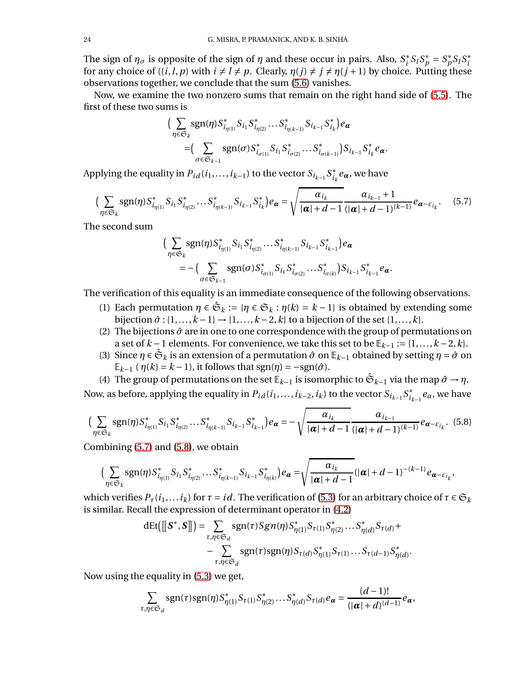The sign of  $η_σ$  is opposite of the sign of  $η$  and these occur in pairs. Also,  $S_i^*S_lS_p^* = S_p^*S_lS_i^*$ for any choice of  $((i, l, p)$  with  $i \neq l \neq p$ . Clearly,  $\eta(j) \neq j \neq \eta(j + 1)$  by choice. Putting these observations together, we conclude that the sum [\(5.6\)](#page-22-0) vanishes.

Now, we examine the two nonzero sums that remain on the right hand side of [\(5.5\)](#page-22-1). The first of these two sums is

$$
\Big(\sum_{\eta \in \mathfrak{S}_k} \text{sgn}(\eta) S^*_{i_{\eta(1)}} S_{i_1} S^*_{i_{\eta(2)}} \dots S^*_{i_{\eta(k-1)}} S_{i_{k-1}} S^*_{i_k}\Big) e_{\alpha}
$$
  
=\Big(\sum\_{\sigma \in \mathfrak{S}\_{k-1}} \text{sgn}(\sigma) S^\*\_{i\_{\sigma(1)}} S\_{i\_1} S^\*\_{i\_{\sigma(2)}} \dots S^\*\_{i\_{\sigma(k-1)}}\Big) S\_{i\_{k-1}} S^\*\_{i\_k} e\_{\alpha}.

Applying the equality in  $P_{id}(i_1,\ldots,i_{k-1})$  to the vector  $S_{i_{k-1}}S_{i_k}^*e_{\pmb{\alpha}}$ , we have

<span id="page-23-0"></span>
$$
\left(\sum_{\eta \in \mathfrak{S}_k} \text{sgn}(\eta) S^*_{i_{\eta(1)}} S_{i_1} S^*_{i_{\eta(2)}} \dots S^*_{i_{\eta(k-1)}} S_{i_{k-1}} S^*_{i_k}\right) e_{\pmb{\alpha}} = \sqrt{\frac{\alpha_{i_k}}{|\pmb{\alpha}| + d - 1}} \frac{\alpha_{i_{k-1}} + 1}{(|\pmb{\alpha}| + d - 1)^{(k-1)}} e_{\pmb{\alpha} - \varepsilon_{i_k}}.\tag{5.7}
$$

The second sum

$$
\Big(\sum_{\eta \in \mathfrak{S}_k} \text{sgn}(\eta) S^*_{i_{\eta(1)}} S_{i_1} S^*_{i_{\eta(2)}} \dots S^*_{i_{\eta(k-1)}} S_{i_{k-1}} S^*_{i_{k-1}}\Big) e_{\alpha}
$$
  
= -\Big(\sum\_{\sigma \in \mathfrak{S}\_{k-1}} \text{sgn}(\sigma) S^\*\_{i\_{\sigma(1)}} S\_{i\_1} S^\*\_{i\_{\sigma(2)}} \dots S^\*\_{i\_{\sigma(k)}}\Big) S\_{i\_{k-1}} S^\*\_{i\_{k-1}} e\_{\alpha}.

The verification of this equality is an immediate consequence of the following observations.

- (1) Each permutation  $\eta \in \mathfrak{S}_k := {\eta \in \mathfrak{S}_k : \eta(k) = k 1}$  is obtained by extending some bijection  $\hat{\sigma}$  : {1,..., $k-1$ }  $\rightarrow$  {1,..., $k-2$ , $k$ } to a bijection of the set {1,..., $k$ }.
- (2) The bijections  $\hat{\sigma}$  are in one to one correspondence with the group of permutations on a set of  $k-1$  elements. For convenience, we take this set to be  $\mathbb{E}_{k-1} := \{1, \ldots, k-2, k\}.$
- (3) Since  $\eta \in \hat{\mathfrak{S}}_k$  is an extension of a permutation  $\hat{\sigma}$  on  $\mathbb{E}_{k-1}$  obtained by setting  $\eta = \hat{\sigma}$  on  $\mathbb{E}_{k-1}$  ( $\eta(k) = k - 1$ ), it follows that sgn( $\eta$ ) =  $-\text{sgn}(\hat{\sigma})$ .
- (4) The group of permutations on the set  $\mathbb{E}_{k-1}$  is isomorphic to  $\hat{\mathfrak{S}}_{k-1}$  via the map  $\hat{\sigma} \to \eta$ .

Now, as before, applying the equality in  $P_{id}(i_1,...,i_{k-2},i_k)$  to the vector  $S_{i_{k-1}}S^*_{i_{k-1}}e_\alpha$ , we have

$$
\left(\sum_{\eta \in \mathfrak{S}_k} \operatorname{sgn}(\eta) S^*_{i_{\eta(1)}} S_{i_1} S^*_{i_{\eta(2)}} \dots S^*_{i_{\eta(k-1)}} S_{i_{k-1}} S^*_{i_{k-1}}\right) e_{\pmb{\alpha}} = -\sqrt{\frac{\alpha_{i_k}}{|\pmb{\alpha}| + d - 1}} \frac{\alpha_{i_{k-1}}}{(|\pmb{\alpha}| + d - 1)^{(k-1)}} e_{\pmb{\alpha} - \varepsilon_{i_k}}.
$$
 (5.8)

Combining [\(5.7\)](#page-23-0) and [\(5.8\)](#page-23-1), we obtain

$$
\Big(\sum_{\eta\in\mathfrak{S}_k}\text{sgn}(\eta)S_{i_{\eta(1)}}^*S_{i_1}S_{i_{\eta(2)}}^*\dots S_{i_{\eta(k-1)}}^*S_{i_{k-1}}S_{i_{\eta(k)}}^*\Big)e_{\pmb{\alpha}}=\sqrt{\frac{\alpha_{i_k}}{|\pmb{\alpha}|+d-1}}(|\pmb{\alpha}|+d-1)^{-(k-1)}e_{\pmb{\alpha}-\varepsilon_{i_k}},
$$

which verifies  $P_{\tau}(i_1,...i_k)$  for  $\tau = id$ . The verification of [\(5.3\)](#page-21-0) for an arbitrary choice of  $\tau \in \mathfrak{S}_k$ is similar. Recall the expression of determinant operator in [\(4.2\)](#page-17-0)

<span id="page-23-1"></span>
$$
dEt([[S^*,S]]) = \sum_{\tau,\eta \in \mathfrak{S}_d} sgn(\tau)Sgn(\eta)S_{\eta(1)}^*S_{\tau(1)}S_{\eta(2)}^*...S_{\eta(d)}^*S_{\tau(d)} + - \sum_{\tau,\eta \in \mathfrak{S}_d} sgn(\tau)sgn(\eta)S_{\tau(d)}S_{\eta(1)}^*S_{\tau(1)}...S_{\tau(d-1)}S_{\eta(d)}^*.
$$

Now using the equality in [\(5.3\)](#page-21-0) we get,

$$
\sum_{\tau,\eta\in\mathfrak{S}_d} \operatorname{sgn}(\tau) \operatorname{sgn}(\eta) S_{\eta(1)}^* S_{\tau(1)} S_{\eta(2)}^* \dots S_{\eta(d)}^* S_{\tau(d)} e_{\pmb{\alpha}} = \frac{(d-1)!}{(|\pmb{\alpha}|+d)^{(d-1)}} e_{\pmb{\alpha}},
$$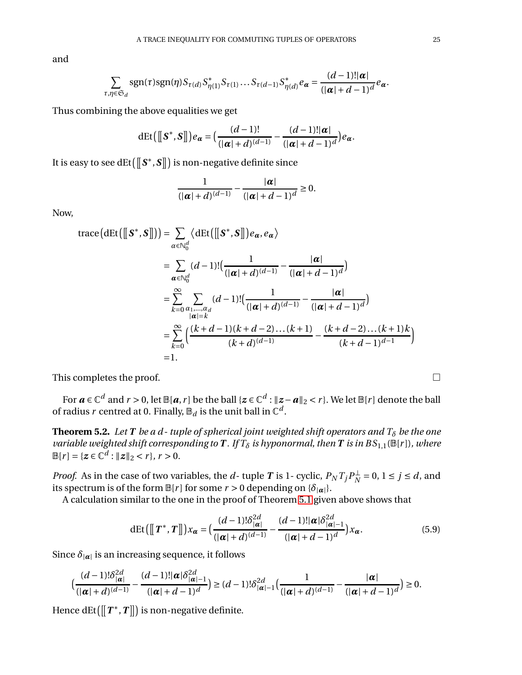and

$$
\sum_{\tau,\eta\in\mathfrak{S}_d}\operatorname{sgn}(\tau)\operatorname{sgn}(\eta)S_{\tau(d)}S_{\eta(1)}^*S_{\tau(1)}\ldots S_{\tau(d-1)}S_{\eta(d)}^*e_{\pmb{\alpha}}=\frac{(d-1)!|\pmb{\alpha}|}{(|\pmb{\alpha}|+d-1)^d}e_{\pmb{\alpha}}.
$$

Thus combining the above equalities we get

$$
\det([\llbracket S^*,S\rrbracket])e_{\pmb{\alpha}}=\big(\frac{(d-1)!}{(|\pmb{\alpha}|+d)^{(d-1)}}-\frac{(d-1)!(\pmb{\alpha}|}{(|\pmb{\alpha}|+d-1)^d}\big)e_{\pmb{\alpha}}.
$$

It is easy to see dEt $\left(\left\lbrack\left\lbrack \mathbf{S}^{\ast},\mathbf{S}\right\rbrack\right)$  is non-negative definite since

$$
\frac{1}{\left(|\boldsymbol{\alpha}|+d\right)^{(d-1)}}-\frac{|\boldsymbol{\alpha}|}{\left(|\boldsymbol{\alpha}|+d-1\right)^d}\geq 0.
$$

Now,

trace
$$
(dEt([[S^*,S]]) = \sum_{\alpha \in \mathbb{N}_0^d} \langle dEt([[S^*,S]])e_{\alpha}, e_{\alpha} \rangle
$$
  
\n
$$
= \sum_{\alpha \in \mathbb{N}_0^d} (d-1)! \Big( \frac{1}{(|\alpha|+d)^{(d-1)}} - \frac{|\alpha|}{(|\alpha|+d-1)^d} \Big)
$$
\n
$$
= \sum_{k=0}^{\infty} \sum_{\substack{\alpha_1, \dots, \alpha_d \\ |\alpha|=k}} (d-1)! \Big( \frac{1}{(|\alpha|+d)^{(d-1)}} - \frac{|\alpha|}{(|\alpha|+d-1)^d} \Big)
$$
\n
$$
= \sum_{k=0}^{\infty} \Big( \frac{(k+d-1)(k+d-2)\dots(k+1)}{(k+d)^{(d-1)}} - \frac{(k+d-2)\dots(k+1)k}{(k+d-1)^{d-1}} \Big)
$$
\n= 1.

This completes the proof.  $\Box$ 

For  $a \in \mathbb{C}^d$  and  $r > 0$ , let  $\mathbb{B}[a, r]$  be the ball  $\{z \in \mathbb{C}^d : \|z - a\|_2 < r\}$ . We let  $\mathbb{B}[r]$  denote the ball of radius  $r$  centred at 0. Finally,  $\mathbb{B}_d$  is the unit ball in  $\mathbb{C}^d$ .

**Theorem 5.2.** Let **T** be a d-tuple of spherical joint weighted shift operators and  $T_{\delta}$  be the one *variable weighted shift corresponding to* **T** *. If*  $T_{\delta}$  *is hyponormal, then* **T** *is in*  $BS_{1,1}(\mathbb{B}[r])$ *, where*  $\mathbb{B}[r] = \{z \in \mathbb{C}^d : ||z||_2 < r\}, r > 0.$ 

*Proof.* As in the case of two variables, the *d*- tuple *T* is 1- cyclic,  $P_N T_j P_N^{\perp} = 0$ ,  $1 \le j \le d$ , and its spectrum is of the form  $\mathbb{B}[r]$  for some  $r > 0$  depending on  $\{\delta_{|\alpha|}\}.$ 

A calculation similar to the one in the proof of Theorem [5.1](#page-21-1) given above shows that

<span id="page-24-0"></span>
$$
\det\left(\left[\!\left[\boldsymbol{T}^*,\boldsymbol{T}\right]\!\right]\!\right)x_{\boldsymbol{\alpha}}=\left(\frac{(d-1)!\delta_{|\boldsymbol{\alpha}|}^{2d}}{(|\boldsymbol{\alpha}|+d)^{(d-1)}}-\frac{(d-1)!(\boldsymbol{\alpha}|\delta_{|\boldsymbol{\alpha}|-1}^{2d})}{(|\boldsymbol{\alpha}|+d-1)^d}\right)x_{\boldsymbol{\alpha}}.\tag{5.9}
$$

Since  $\delta_{\vert \boldsymbol{\alpha} \vert}$  is an increasing sequence, it follows

$$
\left(\frac{(d-1)!\delta_{|\alpha|}^{2d}}{(|\alpha|+d)^{(d-1)}}-\frac{(d-1)!\alpha|\delta_{|\alpha|-1}^{2d}}{(|\alpha|+d-1)^d}\right)\geq (d-1)!\delta_{|\alpha|-1}^{2d}\left(\frac{1}{(|\alpha|+d)^{(d-1)}}-\frac{|\alpha|}{(|\alpha|+d-1)^d}\right)\geq 0.
$$

Hence  $dEt([T^*, T]])$  is non-negative definite.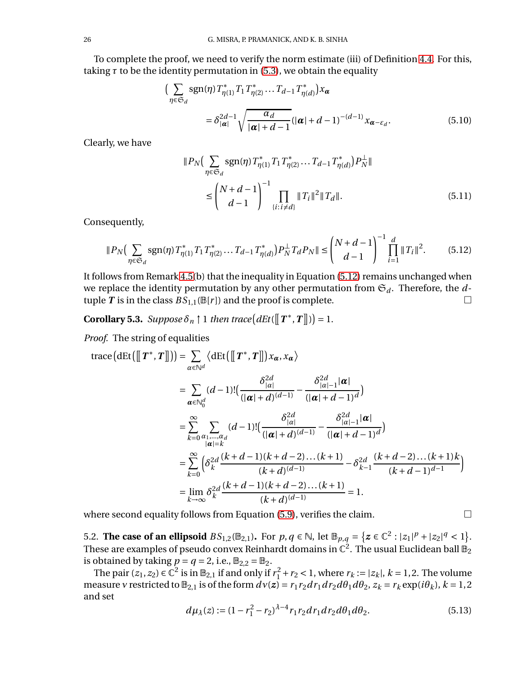To complete the proof, we need to verify the norm estimate (iii) of Definition [4.4.](#page-16-0) For this, taking  $\tau$  to be the identity permutation in [\(5.3\)](#page-21-0), we obtain the equality

$$
\left(\sum_{\eta \in \mathfrak{S}_d} \operatorname{sgn}(\eta) T_{\eta(1)}^* T_1 T_{\eta(2)}^* \dots T_{d-1} T_{\eta(d)}^*\right) x_{\alpha}
$$
\n
$$
= \delta_{|\alpha|}^{2d-1} \sqrt{\frac{\alpha_d}{|\alpha| + d - 1}} (|\alpha| + d - 1)^{-(d-1)} x_{\alpha - \varepsilon_d}.
$$
\n(5.10)

Clearly, we have

<span id="page-25-0"></span>
$$
||P_N\left(\sum_{\eta \in \mathfrak{S}_d} \text{sgn}(\eta) T_{\eta(1)}^* T_1 T_{\eta(2)}^* \dots T_{d-1} T_{\eta(d)}^*\right) P_N^{\perp}||
$$
  

$$
\leq \left(\frac{N+d-1}{d-1}\right)^{-1} \prod_{\{i: i \neq d\}} ||T_i||^2 ||T_d||. \tag{5.11}
$$

Consequently,

$$
||P_N\left(\sum_{\eta \in \mathfrak{S}_d} \text{sgn}(\eta) T_{\eta(1)}^* T_1 T_{\eta(2)}^* \dots T_{d-1} T_{\eta(d)}^*\right) P_N^{\perp} T_d P_N || \le \binom{N+d-1}{d-1}^{-1} \prod_{i=1}^d ||T_i||^2. \tag{5.12}
$$

It follows from Remark 4.5(b) that the inequality in Equation [\(5.12\)](#page-25-0) remains unchanged when we replace the identity permutation by any other permutation from  $\mathfrak{S}_d$ . Therefore, the  $d$ tuple *T* is in the class  $BS_{1,1}(\mathbb{B}[r])$  and the proof is complete.

<span id="page-25-1"></span>**Corollary 5.3.** *Suppose*  $\delta_n \upharpoonright 1$  *then trace*  $\left(dEt([T^*, T]]\right) = 1$ .

*Proof.* The string of equalities

$$
\begin{split} \text{trace}\big(\text{dEt}\big(\big[\!\!\big[ T^*, T \big]\!\!\big]\big)\big) &= \sum_{\alpha \in \mathbb{N}^d} \langle \text{dEt}\big(\big[\!\!\big[ T^*, T \big]\!\!\big]\big) x_{\alpha}, x_{\alpha} \rangle \\ &= \sum_{\alpha \in \mathbb{N}_0^d} (d-1)! \big(\frac{\delta_{|\alpha|}^2}{(|\alpha|+d)^{(d-1)}} - \frac{\delta_{|\alpha|-1}^2 |\alpha|}{(|\alpha|+d-1)^d}\big) \\ &= \sum_{k=0}^{\infty} \sum_{\substack{\alpha_1, \dots, \alpha_d \\ |\alpha|=k}} (d-1)! \big(\frac{\delta_{|\alpha|}^2}{(|\alpha|+d)^{(d-1)}} - \frac{\delta_{|\alpha|-1}^2 |\alpha|}{(|\alpha|+d-1)^d}\big) \\ &= \sum_{k=0}^{\infty} \bigg(\delta_k^2 \frac{(k+d-1)(k+d-2)\dots(k+1)}{(k+d)^{(d-1)}} - \delta_{k-1}^2 \frac{(k+d-2)\dots(k+1)k}{(k+d-1)^{d-1}}\bigg) \\ &= \lim_{k \to \infty} \delta_k^2 \frac{(k+d-1)(k+d-2)\dots(k+1)}{(k+d)^{(d-1)}} = 1. \end{split}
$$

where second equality follows from Equation [\(5.9\)](#page-24-0), verifies the claim.  $\Box$ 

5.2. **The case of an ellipsoid**  $BS_{1,2}(\mathbb{B}_{2,1})$ . For  $p, q \in \mathbb{N}$ , let  $\mathbb{B}_{p,q} = \{z \in \mathbb{C}^2 : |z_1|^p + |z_2|^q < 1\}$ . These are examples of pseudo convex Reinhardt domains in  $\mathbb{C}^2.$  The usual Euclidean ball  $\mathbb{B}_2$ is obtained by taking  $p = q = 2$ , i.e.,  $\mathbb{B}_{2,2} = \mathbb{B}_2$ .

The pair  $(z_1, z_2) \in \mathbb{C}^2$  is in  $\mathbb{B}_{2,1}$  if and only if  $r_1^2 + r_2 < 1$ , where  $r_k := |z_k|$ ,  $k = 1, 2$ . The volume measure v restricted to  $\mathbb{B}_{2,1}$  is of the form  $dv(z) = r_1 r_2 dr_1 dr_2 d\theta_1 d\theta_2$ ,  $z_k = r_k \exp(i\theta_k)$ ,  $k = 1,2$ and set

$$
d\mu_{\lambda}(z) := (1 - r_1^2 - r_2)^{\lambda - 4} r_1 r_2 dr_1 dr_2 d\theta_1 d\theta_2.
$$
 (5.13)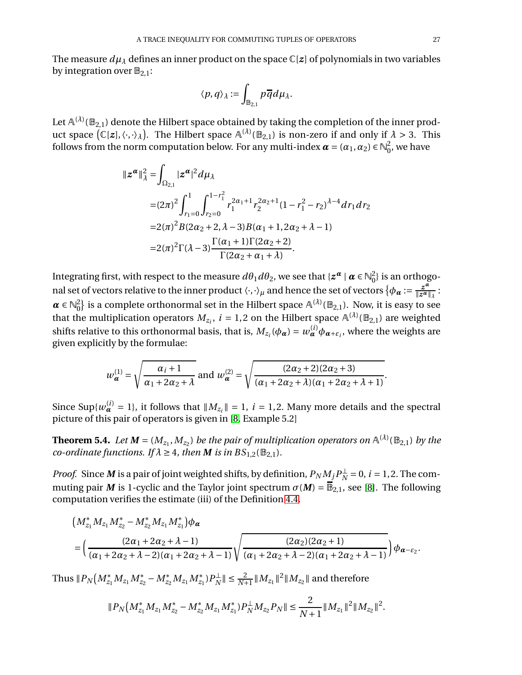The measure  $d\mu_{\lambda}$  defines an inner product on the space  $\mathbb{C}[z]$  of polynomials in two variables by integration over  $\mathbb{B}_{2,1}$ :

$$
\langle p, q \rangle_{\lambda} := \int_{\mathbb{B}_{2,1}} p \overline{q} d\mu_{\lambda}.
$$

Let  $\mathbb{A}^{(\lambda)}(\mathbb{B}_{2,1})$  denote the Hilbert space obtained by taking the completion of the inner product space  $(C[z], \langle \cdot, \cdot \rangle_{\lambda})$ . The Hilbert space  $A^{(\lambda)}(\mathbb{B}_{2,1})$  is non-zero if and only if  $\lambda > 3$ . This follows from the norm computation below. For any multi-index  $\boldsymbol{\alpha} = (\alpha_1, \alpha_2) \in \mathbb{N}_0^2$  $_0^2$ , we have

$$
\|z^{\alpha}\|_{\lambda}^{2} = \int_{\Omega_{2,1}} |z^{\alpha}|^{2} d\mu_{\lambda}
$$
  
\n
$$
= (2\pi)^{2} \int_{r_{1}=0}^{1} \int_{r_{2}=0}^{1-r_{1}^{2}} r_{1}^{2\alpha_{1}+1} r_{2}^{2\alpha_{2}+1} (1-r_{1}^{2}-r_{2})^{\lambda-4} dr_{1} dr_{2}
$$
  
\n
$$
= 2(\pi)^{2} B(2\alpha_{2}+2, \lambda-3) B(\alpha_{1}+1, 2\alpha_{2}+\lambda-1)
$$
  
\n
$$
= 2(\pi)^{2} \Gamma(\lambda-3) \frac{\Gamma(\alpha_{1}+1) \Gamma(2\alpha_{2}+2)}{\Gamma(2\alpha_{2}+\alpha_{1}+\lambda)}.
$$

Integrating first, with respect to the measure  $d\theta_1 d\theta_2$ , we see that  $\{z^{\alpha} \mid \alpha \in \mathbb{N}_0^2\}$  $_{0}^{2}$ } is an orthogonal set of vectors relative to the inner product  $\langle\cdot,\cdot\rangle_\mu$  and hence the set of vectors  $\{\phi_{\bm{\alpha}}:=\frac{z^{\bm{\alpha}}}{\|z^{\bm{\alpha}}\|}$  $rac{z^{\alpha}}{\|z^{\alpha}\|_{\lambda}}$ :  $\boldsymbol{\alpha} \in \mathbb{N}_0^2$  $^2_0\}$  is a complete orthonormal set in the Hilbert space  $\mathbb{A}^{(\lambda)}(\mathbb{B}_{2,1})$ . Now, it is easy to see that the multiplication operators  $M_{z_i}$ ,  $i = 1,2$  on the Hilbert space  $\mathbb{A}^{(\lambda)}(\mathbb{B}_{2,1})$  are weighted shifts relative to this orthonormal basis, that is,  $M_{z_i}(\phi_{\alpha}) = w_{\alpha}^{(i)}\phi_{\alpha+\varepsilon_i}$ , where the weights are given explicitly by the formulae:

$$
w_{\alpha}^{(1)} = \sqrt{\frac{\alpha_i + 1}{\alpha_1 + 2\alpha_2 + \lambda}} \text{ and } w_{\alpha}^{(2)} = \sqrt{\frac{(2\alpha_2 + 2)(2\alpha_2 + 3)}{(\alpha_1 + 2\alpha_2 + \lambda)(\alpha_1 + 2\alpha_2 + \lambda + 1)}}.
$$

Since Sup $\{w_{\alpha}^{(i)}=1\}$ , it follows that  $||M_{z_i}||=1$ ,  $i=1,2$ . Many more details and the spectral picture of this pair of operators is given in [\[8,](#page-28-18) Example 5.2]

**Theorem 5.4.** Let  $M = (M_{z_1}, M_{z_2})$  be the pair of multiplication operators on  $\mathbb{A}^{(\lambda)}(\mathbb{B}_{2,1})$  by the *co-ordinate functions. If*  $\lambda \geq 4$ *, then M is in*  $BS_{1,2}(\mathbb{B}_{2,1})$ *.* 

*Proof.* Since *M* is a pair of joint weighted shifts, by definition,  $P_N M_j P_N^{\perp} = 0$ , *i* = 1, 2. The commuting pair *M* is 1-cyclic and the Taylor joint spectrum  $\sigma(M) = \overline{\mathbb{B}}_{2,1}$ , see [\[8\]](#page-28-18). The following computation verifies the estimate (iii) of the Definition [4.4.](#page-16-0)

$$
\left(M_{z_1}^* M_{z_1} M_{z_2}^* - M_{z_2}^* M_{z_1} M_{z_1}^*\right) \phi_{\alpha}
$$
\n
$$
= \left(\frac{(2\alpha_1 + 2\alpha_2 + \lambda - 1)}{(\alpha_1 + 2\alpha_2 + \lambda - 2)(\alpha_1 + 2\alpha_2 + \lambda - 1)} \sqrt{\frac{(2\alpha_2)(2\alpha_2 + 1)}{(\alpha_1 + 2\alpha_2 + \lambda - 2)(\alpha_1 + 2\alpha_2 + \lambda - 1)}}\right) \phi_{\alpha - \varepsilon_2}.
$$

Thus  $||P_N(M_{z_1}^*M_{z_1}M_{z_2}^* - M_{z_2}^*M_{z_1}M_{z_1}^*)P_N^{\perp}|| \le \frac{2}{N+1}||M_{z_1}||^2||M_{z_2}||$  and therefore

$$
||P_N\big(M_{z_1}^*M_{z_1}M_{z_2}^* - M_{z_2}^*M_{z_1}M_{z_1}^*\big)P_N^{\perp}M_{z_2}P_N|| \leq \frac{2}{N+1}||M_{z_1}||^2||M_{z_2}||^2.
$$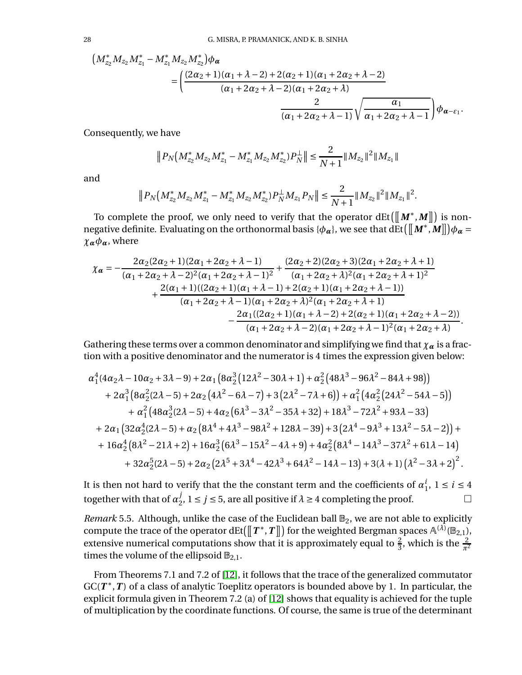$$
\begin{aligned}\n\left(M_{z_2}^* M_{z_2} M_{z_1}^* - M_{z_1}^* M_{z_2} M_{z_2}^*\right) &\phi_{\alpha} \\
&= \left(\frac{(2\alpha_2 + 1)(\alpha_1 + \lambda - 2) + 2(\alpha_2 + 1)(\alpha_1 + 2\alpha_2 + \lambda - 2)}{(\alpha_1 + 2\alpha_2 + \lambda - 2)(\alpha_1 + 2\alpha_2 + \lambda)}\right. \\
&\left.\frac{2}{(\alpha_1 + 2\alpha_2 + \lambda - 1)}\sqrt{\frac{\alpha_1}{\alpha_1 + 2\alpha_2 + \lambda - 1}}\right) &\phi_{\alpha - \varepsilon_1}.\n\end{aligned}
$$

Consequently, we have

$$
\|P_N\big(M_{z_2}^* M_{z_2} M_{z_1}^* - M_{z_1}^* M_{z_2} M_{z_2}^*\big)P_N^{\perp}\| \le \frac{2}{N+1} \|M_{z_2}\|^2 \|M_{z_1}\|
$$

and

$$
\|P_N\big(M_{z_2}^*M_{z_2}M_{z_1}^* - M_{z_1}^*M_{z_2}M_{z_2}^*\big)P_N^{\perp}M_{z_1}P_N\|\leq \frac{2}{N+1}\|M_{z_2}\|^2\|M_{z_1}\|^2.
$$

To complete the proof, we only need to verify that the operator  $dEt([M^*, M])$  is nonnegative definite. Evaluating on the orthonormal basis { $\phi_{\alpha}$ }, we see that  $\textrm{dEt}\left(\left[\!\left[ \bm{M}^*, \bm{M} \right]\!\right] \!\right)$   $\!\phi_{\bm{\alpha}}=$  $\chi_{\alpha} \phi_{\alpha}$ , where

$$
\chi_{\alpha} = -\frac{2\alpha_2(2\alpha_2+1)(2\alpha_1+2\alpha_2+\lambda-1)}{(\alpha_1+2\alpha_2+\lambda-2)^2(\alpha_1+2\alpha_2+\lambda-1)^2} + \frac{(2\alpha_2+2)(2\alpha_2+3)(2\alpha_1+2\alpha_2+\lambda+1)}{(\alpha_1+2\alpha_2+\lambda)^2(\alpha_1+2\alpha_2+\lambda+1)^2} + \frac{2(\alpha_1+1)((2\alpha_2+1)(\alpha_1+\lambda-1)+2(\alpha_2+1)(\alpha_1+2\alpha_2+\lambda-1))}{(\alpha_1+2\alpha_2+\lambda-1)(\alpha_1+2\alpha_2+\lambda)^2(\alpha_1+2\alpha_2+\lambda+1)} - \frac{2\alpha_1((2\alpha_2+1)(\alpha_1+\lambda-2)+2(\alpha_2+1)(\alpha_1+2\alpha_2+\lambda-2))}{(\alpha_1+2\alpha_2+\lambda-2)(\alpha_1+2\alpha_2+\lambda-1)^2(\alpha_1+2\alpha_2+\lambda)}.
$$

Gathering these terms over a common denominator and simplifying we find that  $\chi_{\alpha}$  is a fraction with a positive denominator and the numerator is 4 times the expression given below:

$$
\alpha_1^4(4\alpha_2\lambda - 10\alpha_2 + 3\lambda - 9) + 2\alpha_1 \left(8\alpha_2^3 \left(12\lambda^2 - 30\lambda + 1\right) + \alpha_2^2 \left(48\lambda^3 - 96\lambda^2 - 84\lambda + 98\right)\right) \n+ 2\alpha_1^3 \left(8\alpha_2^2 (2\lambda - 5) + 2\alpha_2 \left(4\lambda^2 - 6\lambda - 7\right) + 3 \left(2\lambda^2 - 7\lambda + 6\right)\right) + \alpha_1^2 \left(4\alpha_2^2 \left(24\lambda^2 - 54\lambda - 5\right)\right) \n+ \alpha_1^2 \left(48\alpha_2^3 (2\lambda - 5) + 4\alpha_2 \left(6\lambda^3 - 3\lambda^2 - 35\lambda + 32\right) + 18\lambda^3 - 72\lambda^2 + 93\lambda - 33\right) \n+ 2\alpha_1 \left(32\alpha_2^4 (2\lambda - 5) + \alpha_2 \left(8\lambda^4 + 4\lambda^3 - 98\lambda^2 + 128\lambda - 39\right) + 3 \left(2\lambda^4 - 9\lambda^3 + 13\lambda^2 - 5\lambda - 2\right)\right) + \n+ 16\alpha_2^4 \left(8\lambda^2 - 21\lambda + 2\right) + 16\alpha_2^3 \left(6\lambda^3 - 15\lambda^2 - 4\lambda + 9\right) + 4\alpha_2^2 \left(8\lambda^4 - 14\lambda^3 - 37\lambda^2 + 61\lambda - 14\right) \n+ 32\alpha_2^5 (2\lambda - 5) + 2\alpha_2 \left(2\lambda^5 + 3\lambda^4 - 42\lambda^3 + 64\lambda^2 - 14\lambda - 13\right) + 3(\lambda + 1) \left(\lambda^2 - 3\lambda + 2\right)^2.
$$

It is then not hard to verify that the the constant term and the coefficients of  $\alpha^i_1$  $i<sub>1</sub>$ ,  $1 \le i \le 4$ together with that of  $\alpha_2^j$  $j$ , 1 ≤ *j* ≤ 5, are all positive if  $\lambda$  ≥ 4 completing the proof.  $\Box$ 

*Remark* 5.5. Although, unlike the case of the Euclidean ball  $\mathbb{B}_2$ , we are not able to explicitly compute the trace of the operator  $\text{dEt}(\llbracket \bm{\mathit{T}}^*, \bm{\mathit{T}} \rrbracket)$  for the weighted Bergman spaces  $\mathbb{A}^{(\lambda)}(\mathbb{B}_{2,1}),$ extensive numerical computations show that it is approximately equal to  $\frac{2}{3}$ , which is the  $\frac{2}{\pi^2}$ times the volume of the ellipsoid  $\mathbb{B}_{2,1}$ .

From Theorems 7.1 and 7.2 of [\[12\]](#page-28-14), it follows that the trace of the generalized commutator  $GC(T^*,T)$  of a class of analytic Toeplitz operators is bounded above by 1. In particular, the explicit formula given in Theorem 7.2 (a) of [\[12\]](#page-28-14) shows that equality is achieved for the tuple of multiplication by the coordinate functions. Of course, the same is true of the determinant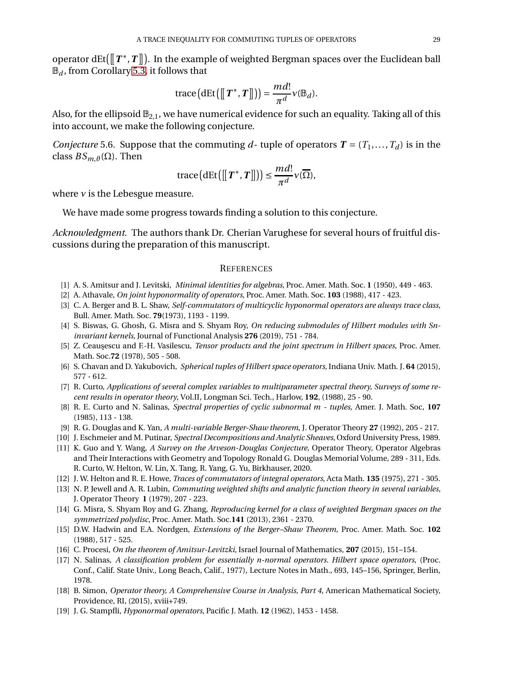operator dEt( $\left[\!\left[T^*,T\right]\!\right]$ ). In the example of weighted Bergman spaces over the Euclidean ball  $\mathbb{B}_d$ , from Corollary [5.3,](#page-25-1) it follows that

trace
$$
(dEt([[T^*,T]]) = \frac{md!}{\pi^d}v(\mathbb{B}_d).
$$

Also, for the ellipsoid  $\mathbb{B}_{2,1}$ , we have numerical evidence for such an equality. Taking all of this into account, we make the following conjecture.

*Conjecture* 5.6. Suppose that the commuting *d*-tuple of operators  $T = (T_1, \ldots, T_d)$  is in the class  $BS_{m,\vartheta}(\Omega)$ . Then

trace
$$
(dEt([[T^*,T]]) \le \frac{md!}{\pi^d} \nu(\overline{\Omega}),
$$

where  $\nu$  is the Lebesgue measure.

We have made some progress towards finding a solution to this conjecture.

*Acknowledgment.* The authors thank Dr. Cherian Varughese for several hours of fruitful discussions during the preparation of this manuscript.

### **REFERENCES**

- <span id="page-28-13"></span><span id="page-28-4"></span>[1] A. S. Amitsur and J. Levitski, *Minimal identities for algebras*, Proc. Amer. Math. Soc. **1** (1950), 449 - 463.
- <span id="page-28-3"></span>[2] A. Athavale, *On joint hyponormality of operators*, Proc. Amer. Math. Soc. **103** (1988), 417 - 423.
- <span id="page-28-8"></span>[3] C. A. Berger and B. L. Shaw, *Self-commutators of multicyclic hyponormal operators are always trace class*, Bull. Amer. Math. Soc. **79**(1973), 1193 - 1199.
- [4] S. Biswas, G. Ghosh, G. Misra and S. Shyam Roy, *On reducing submodules of Hilbert modules with Sninvariant kernels*, Journal of Functional Analysis **276** (2019), 751 - 784.
- <span id="page-28-16"></span><span id="page-28-11"></span>[5] Z. Ceau¸sescu and F.-H. Vasilescu, *Tensor products and the joint spectrum in Hilbert spaces*, Proc. Amer. Math. Soc.**72** (1978), 505 - 508.
- <span id="page-28-0"></span>[6] S. Chavan and D. Yakubovich, *Spherical tuples of Hilbert space operators*, Indiana Univ. Math. J. **64** (2015), 577 - 612.
- [7] R. Curto, *Applications of several complex variables to multiparameter spectral theory, Surveys of some recent results in operator theory*, Vol.II, Longman Sci. Tech., Harlow, **192**, (1988), 25 - 90.
- <span id="page-28-18"></span>[8] R. E. Curto and N. Salinas, *Spectral properties of cyclic subnormal m - tuples*, Amer. J. Math. Soc, **107** (1985), 113 - 138.
- <span id="page-28-5"></span><span id="page-28-1"></span>[9] R. G. Douglas and K. Yan, *A multi-variable Berger-Shaw theorem*, J. Operator Theory **27** (1992), 205 - 217.
- <span id="page-28-10"></span>[10] J. Eschmeier and M. Putinar, *Spectral Decompositions and Analytic Sheaves*, Oxford University Press, 1989.
- [11] K. Guo and Y. Wang, *A Survey on the Arveson-Douglas Conjecture*, Operator Theory, Operator Algebras and Their Interactions with Geometry and Topology Ronald G. Douglas Memorial Volume, 289 - 311, Eds. R. Curto, W. Helton, W. Lin, X. Tang, R. Yang, G. Yu, Birkhauser, 2020.
- <span id="page-28-17"></span><span id="page-28-14"></span>[12] J. W. Helton and R. E. Howe, *Traces of commutators of integral operators*, Acta Math. **135** (1975), 271 - 305.
- [13] N. P. Jewell and A. R. Lubin, *Commuting weighted shifts and analytic function theory in several variables*, J. Operator Theory **1** (1979), 207 - 223.
- <span id="page-28-12"></span>[14] G. Misra, S. Shyam Roy and G. Zhang, *Reproducing kernel for a class of weighted Bergman spaces on the symmetrized polydisc*, Proc. Amer. Math. Soc.**141** (2013), 2361 - 2370.
- <span id="page-28-2"></span>[15] D.W. Hadwin and E.A. Nordgen, *Extensions of the Berger–Shaw Theorem*, Proc. Amer. Math. Soc. **102** (1988), 517 - 525.
- <span id="page-28-15"></span><span id="page-28-6"></span>[16] C. Procesi, *On the theorem of Amitsur-Levitzki*, Israel Journal of Mathematics, **207** (2015), 151–154.
- [17] N. Salinas, *A classification problem for essentially n-normal operators. Hilbert space operators*, (Proc. Conf., Calif. State Univ., Long Beach, Calif., 1977), Lecture Notes in Math., 693, 145–156, Springer, Berlin, 1978.
- <span id="page-28-9"></span>[18] B. Simon, *Operator theory, A Comprehensive Course in Analysis, Part 4*, American Mathematical Society, Providence, RI, (2015), xviii+749.
- <span id="page-28-7"></span>[19] J. G. Stampfli, *Hyponormal operators*, Pacific J. Math. **12** (1962), 1453 - 1458.